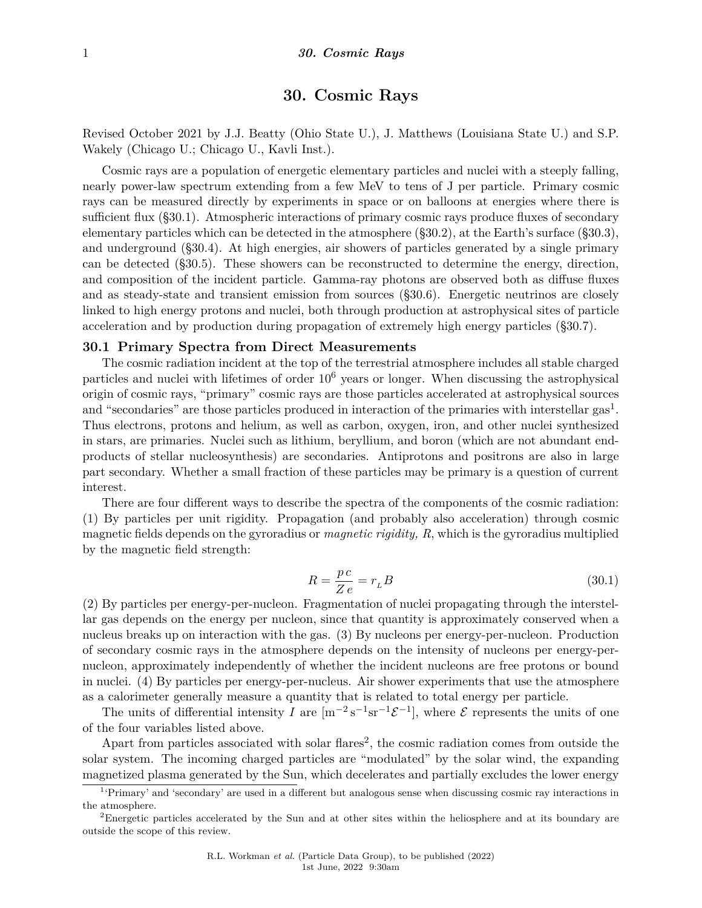# **30. Cosmic Rays**

Revised October 2021 by J.J. Beatty (Ohio State U.), J. Matthews (Louisiana State U.) and S.P. Wakely (Chicago U.; Chicago U., Kavli Inst.).

Cosmic rays are a population of energetic elementary particles and nuclei with a steeply falling, nearly power-law spectrum extending from a few MeV to tens of J per particle. Primary cosmic rays can be measured directly by experiments in space or on balloons at energies where there is sufficient flux (§30.1). Atmospheric interactions of primary cosmic rays produce fluxes of secondary elementary particles which can be detected in the atmosphere (§30.2), at the Earth's surface (§30.3), and underground (§30.4). At high energies, air showers of particles generated by a single primary can be detected (§30.5). These showers can be reconstructed to determine the energy, direction, and composition of the incident particle. Gamma-ray photons are observed both as diffuse fluxes and as steady-state and transient emission from sources (§30.6). Energetic neutrinos are closely linked to high energy protons and nuclei, both through production at astrophysical sites of particle acceleration and by production during propagation of extremely high energy particles (§30.7).

#### **30.1 Primary Spectra from Direct Measurements**

The cosmic radiation incident at the top of the terrestrial atmosphere includes all stable charged particles and nuclei with lifetimes of order 10<sup>6</sup> years or longer. When discussing the astrophysical origin of cosmic rays, "primary" cosmic rays are those particles accelerated at astrophysical sources and "secondaries" are those particles produced in interaction of the primaries with interstellar gas<sup>[1](#page-0-0)</sup>. Thus electrons, protons and helium, as well as carbon, oxygen, iron, and other nuclei synthesized in stars, are primaries. Nuclei such as lithium, beryllium, and boron (which are not abundant endproducts of stellar nucleosynthesis) are secondaries. Antiprotons and positrons are also in large part secondary. Whether a small fraction of these particles may be primary is a question of current interest.

There are four different ways to describe the spectra of the components of the cosmic radiation: (1) By particles per unit rigidity. Propagation (and probably also acceleration) through cosmic magnetic fields depends on the gyroradius or *magnetic rigidity, R*, which is the gyroradius multiplied by the magnetic field strength:

$$
R = \frac{pc}{Ze} = r_L B \tag{30.1}
$$

(2) By particles per energy-per-nucleon. Fragmentation of nuclei propagating through the interstellar gas depends on the energy per nucleon, since that quantity is approximately conserved when a nucleus breaks up on interaction with the gas. (3) By nucleons per energy-per-nucleon. Production of secondary cosmic rays in the atmosphere depends on the intensity of nucleons per energy-pernucleon, approximately independently of whether the incident nucleons are free protons or bound in nuclei. (4) By particles per energy-per-nucleus. Air shower experiments that use the atmosphere as a calorimeter generally measure a quantity that is related to total energy per particle.

The units of differential intensity *I* are  $[m^{-2} s^{-1} sr^{-1} \mathcal{E}^{-1}]$ , where  $\mathcal E$  represents the units of one of the four variables listed above.

Apart from particles associated with solar flares<sup>[2](#page-0-1)</sup>, the cosmic radiation comes from outside the solar system. The incoming charged particles are "modulated" by the solar wind, the expanding magnetized plasma generated by the Sun, which decelerates and partially excludes the lower energy

<span id="page-0-0"></span><sup>1</sup> 'Primary' and 'secondary' are used in a different but analogous sense when discussing cosmic ray interactions in the atmosphere.

<span id="page-0-1"></span><sup>&</sup>lt;sup>2</sup>Energetic particles accelerated by the Sun and at other sites within the heliosphere and at its boundary are outside the scope of this review.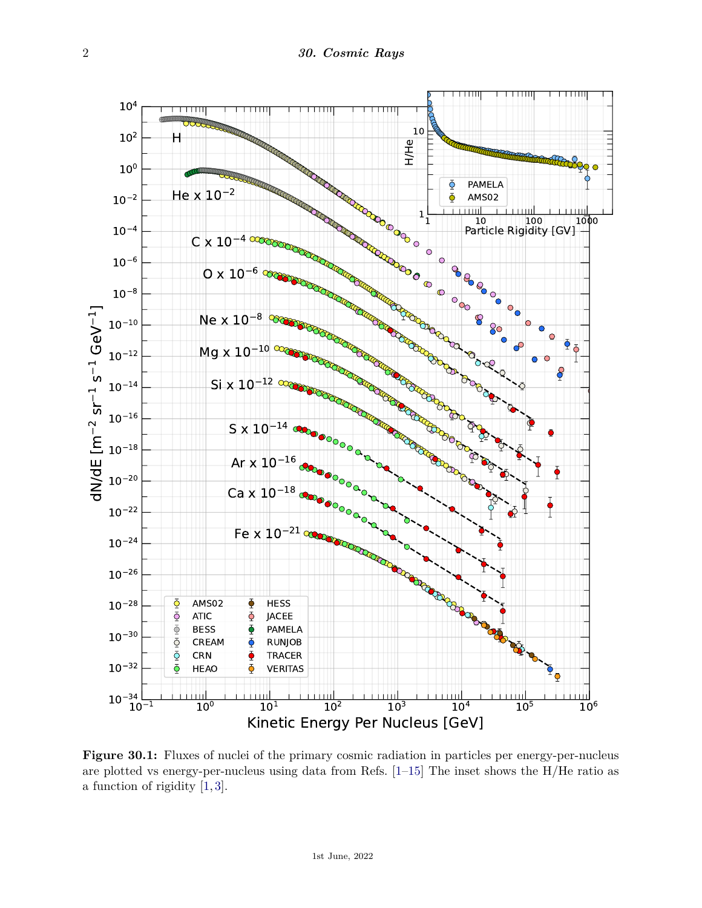

**Figure 30.1:** Fluxes of nuclei of the primary cosmic radiation in particles per energy-per-nucleus are plotted vs energy-per-nucleus using data from Refs. [\[1–](#page-18-0)[15\]](#page-19-0) The inset shows the H/He ratio as a function of rigidity [\[1,](#page-18-0) [3\]](#page-18-1).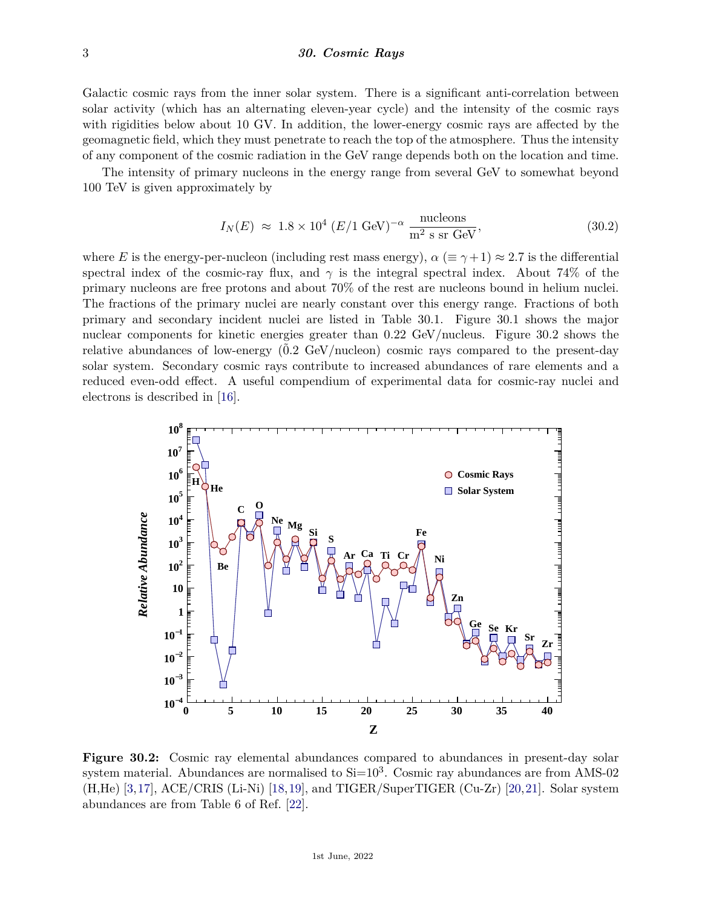Galactic cosmic rays from the inner solar system. There is a significant anti-correlation between solar activity (which has an alternating eleven-year cycle) and the intensity of the cosmic rays with rigidities below about 10 GV. In addition, the lower-energy cosmic rays are affected by the geomagnetic field, which they must penetrate to reach the top of the atmosphere. Thus the intensity of any component of the cosmic radiation in the GeV range depends both on the location and time.

The intensity of primary nucleons in the energy range from several GeV to somewhat beyond 100 TeV is given approximately by

$$
I_N(E) \approx 1.8 \times 10^4 \ (E/1 \text{ GeV})^{-\alpha} \frac{\text{nucleons}}{\text{m}^2 \text{ s sr GeV}},\tag{30.2}
$$

where *E* is the energy-per-nucleon (including rest mass energy),  $\alpha$  ( $\equiv \gamma + 1$ )  $\approx 2.7$  is the differential spectral index of the cosmic-ray flux, and  $\gamma$  is the integral spectral index. About 74% of the primary nucleons are free protons and about 70% of the rest are nucleons bound in helium nuclei. The fractions of the primary nuclei are nearly constant over this energy range. Fractions of both primary and secondary incident nuclei are listed in Table 30.1. Figure 30.1 shows the major nuclear components for kinetic energies greater than 0*.*22 GeV/nucleus. Figure 30.2 shows the relative abundances of low-energy  $(0.2 \text{ GeV/nucleon})$  cosmic rays compared to the present-day solar system. Secondary cosmic rays contribute to increased abundances of rare elements and a reduced even-odd effect. A useful compendium of experimental data for cosmic-ray nuclei and electrons is described in [\[16\]](#page-19-1).



**Figure 30.2:** Cosmic ray elemental abundances compared to abundances in present-day solar system material. Abundances are normalised to  $Si=10^3$ . Cosmic ray abundances are from AMS-02 (H,He) [\[3,](#page-18-1)[17\]](#page-19-2), ACE/CRIS (Li-Ni) [\[18,](#page-19-3)[19\]](#page-19-4), and TIGER/SuperTIGER (Cu-Zr) [\[20,](#page-19-5)[21\]](#page-19-6). Solar system abundances are from Table 6 of Ref. [\[22\]](#page-19-7).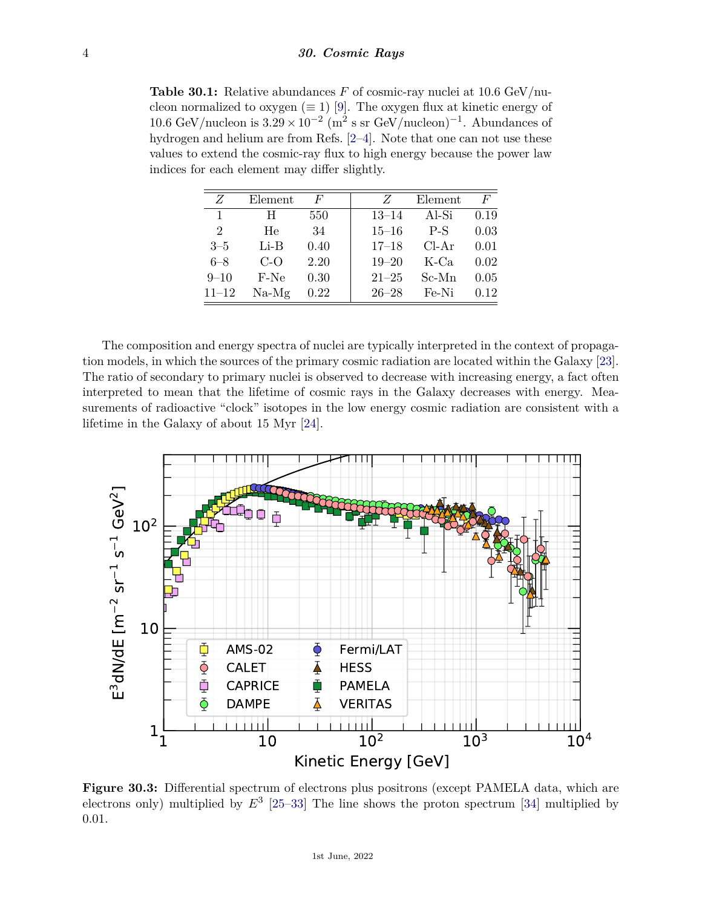**Table 30.1:** Relative abundances *F* of cosmic-ray nuclei at 10*.*6 GeV/nucleon normalized to oxygen ( $\equiv$  1) [\[9\]](#page-18-2). The oxygen flux at kinetic energy of 10.6 GeV/nucleon is  $3.29 \times 10^{-2}$  (m<sup>2</sup> s sr GeV/nucleon)<sup>-1</sup>. Abundances of hydrogen and helium are from Refs. [\[2–](#page-18-3)[4\]](#page-18-4). Note that one can not use these values to extend the cosmic-ray flux to high energy because the power law indices for each element may differ slightly.

| Z         | Element | $\boldsymbol{F}$ | Z         | Element | F    |
|-----------|---------|------------------|-----------|---------|------|
| 1         | H       | 550              | $13 - 14$ | Al-Si   | 0.19 |
| 2         | He      | 34               | $15 - 16$ | $P-S$   | 0.03 |
| $3 - 5$   | $Li-B$  | 0.40             | $17 - 18$ | $Cl-Ar$ | 0.01 |
| $6 - 8$   | $C$ -O  | 2.20             | $19 - 20$ | $K$ -Ca | 0.02 |
| $9 - 10$  | F-Ne    | 0.30             | $21 - 25$ | Sc-Mn   | 0.05 |
| $11 - 12$ | $Na-Mg$ | 0.22             | $26 - 28$ | Fe-Ni   | 0.12 |

The composition and energy spectra of nuclei are typically interpreted in the context of propagation models, in which the sources of the primary cosmic radiation are located within the Galaxy [\[23\]](#page-19-8). The ratio of secondary to primary nuclei is observed to decrease with increasing energy, a fact often interpreted to mean that the lifetime of cosmic rays in the Galaxy decreases with energy. Measurements of radioactive "clock" isotopes in the low energy cosmic radiation are consistent with a lifetime in the Galaxy of about 15 Myr [\[24\]](#page-19-9).



**Figure 30.3:** Differential spectrum of electrons plus positrons (except PAMELA data, which are electrons only) multiplied by  $E^3$  [\[25](#page-19-10)[–33\]](#page-19-11) The line shows the proton spectrum [\[34\]](#page-19-12) multiplied by 0.01.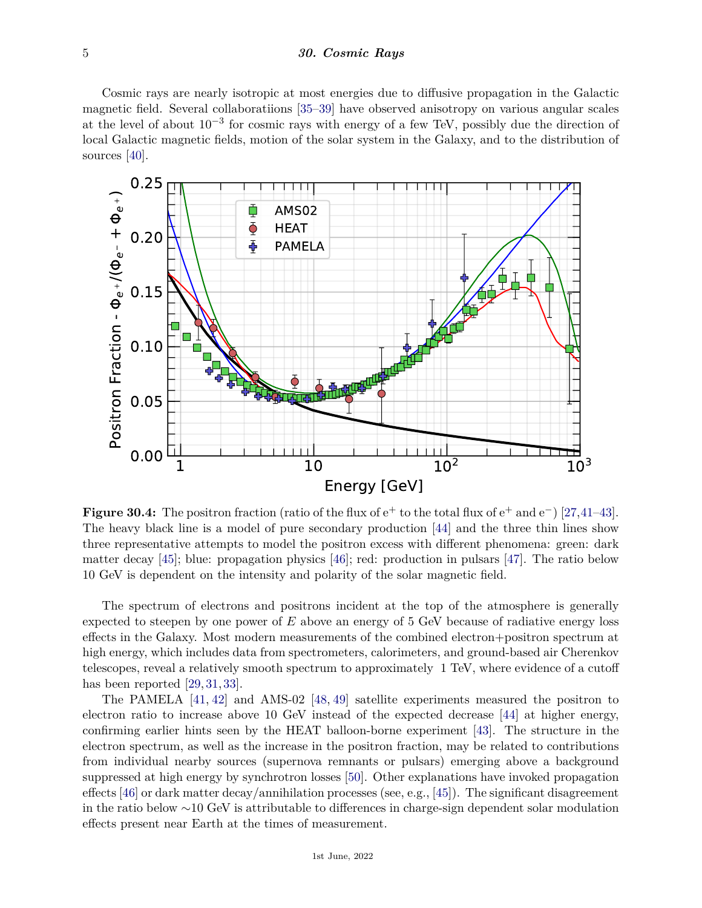#### 5 *30. Cosmic Rays*

Cosmic rays are nearly isotropic at most energies due to diffusive propagation in the Galactic magnetic field. Several collaboratiions [\[35–](#page-19-13)[39\]](#page-19-14) have observed anisotropy on various angular scales at the level of about  $10^{-3}$  for cosmic rays with energy of a few TeV, possibly due the direction of local Galactic magnetic fields, motion of the solar system in the Galaxy, and to the distribution of sources [\[40\]](#page-19-15).



**Figure 30.4:** The positron fraction (ratio of the flux of e<sup>+</sup> to the total flux of e<sup>+</sup> and e−) [\[27,](#page-19-16)[41–](#page-19-17)[43\]](#page-19-18). The heavy black line is a model of pure secondary production [\[44\]](#page-19-19) and the three thin lines show three representative attempts to model the positron excess with different phenomena: green: dark matter decay [\[45\]](#page-19-20); blue: propagation physics [\[46\]](#page-19-21); red: production in pulsars [\[47\]](#page-19-22). The ratio below 10 GeV is dependent on the intensity and polarity of the solar magnetic field.

The spectrum of electrons and positrons incident at the top of the atmosphere is generally expected to steepen by one power of *E* above an energy of 5 GeV because of radiative energy loss effects in the Galaxy. Most modern measurements of the combined electron+positron spectrum at high energy, which includes data from spectrometers, calorimeters, and ground-based air Cherenkov telescopes, reveal a relatively smooth spectrum to approximately 1 TeV, where evidence of a cutoff has been reported [\[29,](#page-19-23) [31,](#page-19-24) [33\]](#page-19-11).

The PAMELA [\[41,](#page-19-17) [42\]](#page-19-25) and AMS-02 [\[48,](#page-19-26) [49\]](#page-19-27) satellite experiments measured the positron to electron ratio to increase above 10 GeV instead of the expected decrease [\[44\]](#page-19-19) at higher energy, confirming earlier hints seen by the HEAT balloon-borne experiment [\[43\]](#page-19-18). The structure in the electron spectrum, as well as the increase in the positron fraction, may be related to contributions from individual nearby sources (supernova remnants or pulsars) emerging above a background suppressed at high energy by synchrotron losses [\[50\]](#page-19-28). Other explanations have invoked propagation effects [\[46\]](#page-19-21) or dark matter decay/annihilation processes (see, e.g., [\[45\]](#page-19-20)). The significant disagreement in the ratio below ∼10 GeV is attributable to differences in charge-sign dependent solar modulation effects present near Earth at the times of measurement.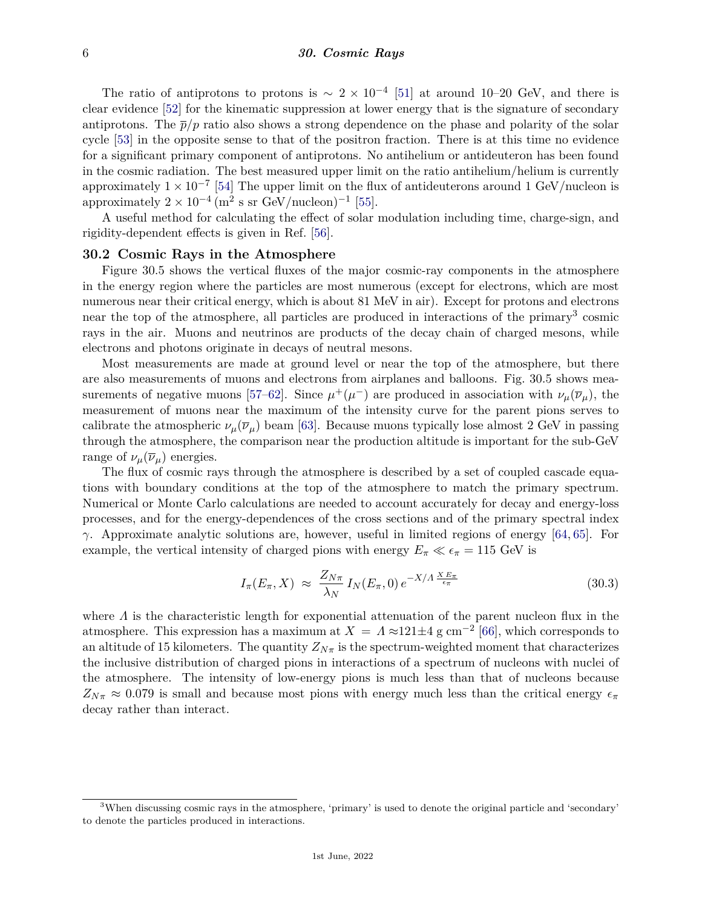The ratio of antiprotons to protons is  $\sim 2 \times 10^{-4}$  [\[51\]](#page-19-29) at around 10–20 GeV, and there is clear evidence [\[52\]](#page-20-0) for the kinematic suppression at lower energy that is the signature of secondary antiprotons. The  $\bar{p}/p$  ratio also shows a strong dependence on the phase and polarity of the solar cycle [\[53\]](#page-20-1) in the opposite sense to that of the positron fraction. There is at this time no evidence for a significant primary component of antiprotons. No antihelium or antideuteron has been found in the cosmic radiation. The best measured upper limit on the ratio antihelium/helium is currently approximately  $1 \times 10^{-7}$  [\[54\]](#page-20-2) The upper limit on the flux of antideuterons around 1 GeV/nucleon is approximately  $2 \times 10^{-4}$  (m<sup>2</sup> s sr GeV/nucleon)<sup>-1</sup> [\[55\]](#page-20-3).

A useful method for calculating the effect of solar modulation including time, charge-sign, and rigidity-dependent effects is given in Ref. [\[56\]](#page-20-4).

### **30.2 Cosmic Rays in the Atmosphere**

Figure 30.5 shows the vertical fluxes of the major cosmic-ray components in the atmosphere in the energy region where the particles are most numerous (except for electrons, which are most numerous near their critical energy, which is about 81 MeV in air). Except for protons and electrons near the top of the atmosphere, all particles are produced in interactions of the primary<sup>[3](#page-5-0)</sup> cosmic rays in the air. Muons and neutrinos are products of the decay chain of charged mesons, while electrons and photons originate in decays of neutral mesons.

Most measurements are made at ground level or near the top of the atmosphere, but there are also measurements of muons and electrons from airplanes and balloons. Fig. 30.5 shows mea-surements of negative muons [\[57–](#page-20-5)[62\]](#page-20-6). Since  $\mu^+(\mu^-)$  are produced in association with  $\nu_\mu(\overline{\nu}_\mu)$ , the measurement of muons near the maximum of the intensity curve for the parent pions serves to calibrate the atmospheric  $\nu_{\mu}(\overline{\nu}_{\mu})$  beam [\[63\]](#page-20-7). Because muons typically lose almost 2 GeV in passing through the atmosphere, the comparison near the production altitude is important for the sub-GeV range of  $\nu_\mu(\overline{\nu}_\mu)$  energies.

The flux of cosmic rays through the atmosphere is described by a set of coupled cascade equations with boundary conditions at the top of the atmosphere to match the primary spectrum. Numerical or Monte Carlo calculations are needed to account accurately for decay and energy-loss processes, and for the energy-dependences of the cross sections and of the primary spectral index *γ*. Approximate analytic solutions are, however, useful in limited regions of energy [\[64,](#page-20-8) [65\]](#page-20-9). For example, the vertical intensity of charged pions with energy  $E_{\pi} \ll \epsilon_{\pi} = 115$  GeV is

$$
I_{\pi}(E_{\pi}, X) \approx \frac{Z_{N\pi}}{\lambda_N} I_N(E_{\pi}, 0) e^{-X/\Lambda \frac{X E_{\pi}}{\epsilon_{\pi}}}
$$
(30.3)

where *Λ* is the characteristic length for exponential attenuation of the parent nucleon flux in the atmosphere. This expression has a maximum at  $X = A \approx 121 \pm 4$  g cm<sup>-2</sup> [\[66\]](#page-20-10), which corresponds to an altitude of 15 kilometers. The quantity  $Z_{N\pi}$  is the spectrum-weighted moment that characterizes the inclusive distribution of charged pions in interactions of a spectrum of nucleons with nuclei of the atmosphere. The intensity of low-energy pions is much less than that of nucleons because  $Z_{N\pi} \approx 0.079$  is small and because most pions with energy much less than the critical energy  $\epsilon_{\pi}$ decay rather than interact.

<span id="page-5-0"></span> $3$ When discussing cosmic rays in the atmosphere, 'primary' is used to denote the original particle and 'secondary' to denote the particles produced in interactions.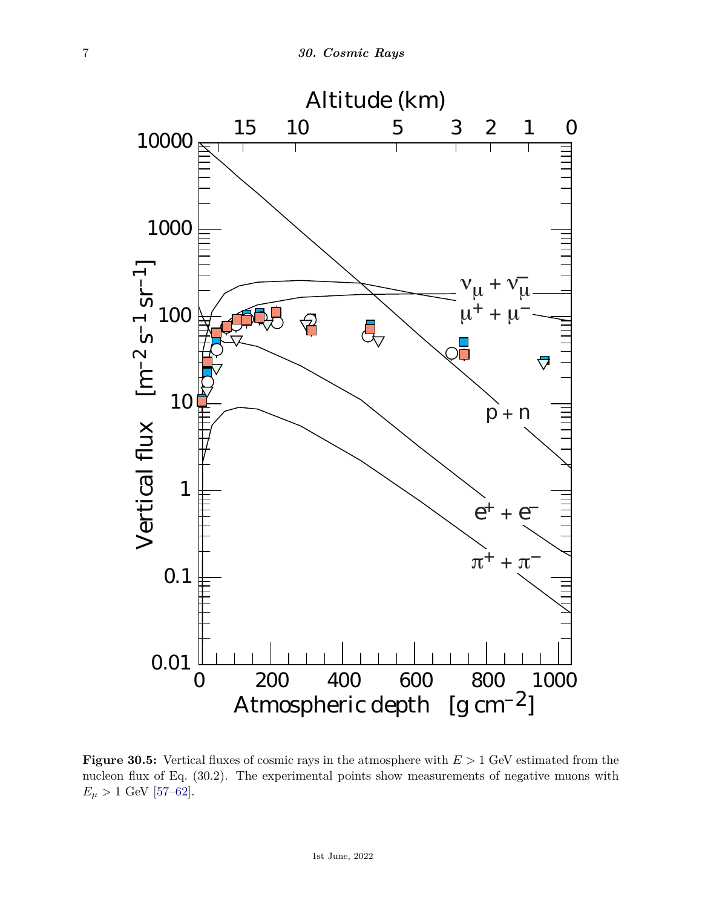

**Figure 30.5:** Vertical fluxes of cosmic rays in the atmosphere with *E >* 1 GeV estimated from the nucleon flux of Eq. (30.2). The experimental points show measurements of negative muons with  $E_{\mu} > 1$  GeV [\[57–](#page-20-5)[62\]](#page-20-6).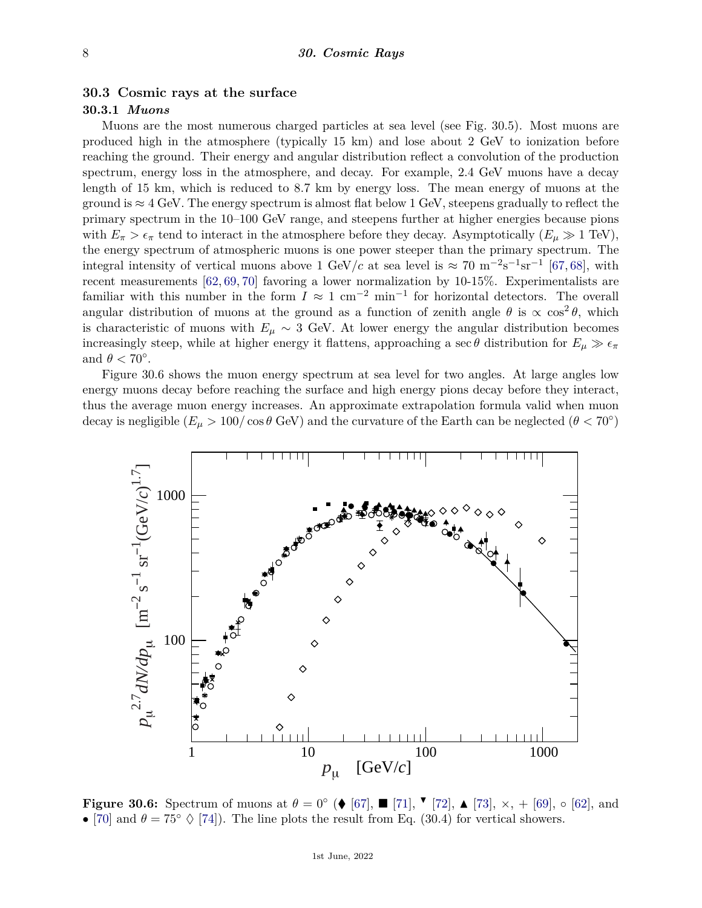### **30.3 Cosmic rays at the surface**

# **30.3.1** *Muons*

Muons are the most numerous charged particles at sea level (see Fig. 30.5). Most muons are produced high in the atmosphere (typically 15 km) and lose about 2 GeV to ionization before reaching the ground. Their energy and angular distribution reflect a convolution of the production spectrum, energy loss in the atmosphere, and decay. For example, 2*.*4 GeV muons have a decay length of 15 km, which is reduced to 8*.*7 km by energy loss. The mean energy of muons at the ground is  $\approx 4$  GeV. The energy spectrum is almost flat below 1 GeV, steepens gradually to reflect the primary spectrum in the 10–100 GeV range, and steepens further at higher energies because pions with  $E_{\pi} > \epsilon_{\pi}$  tend to interact in the atmosphere before they decay. Asymptotically  $(E_{\mu} \gg 1 \text{ TeV})$ , the energy spectrum of atmospheric muons is one power steeper than the primary spectrum. The integral intensity of vertical muons above 1 GeV/*c* at sea level is  $\approx 70 \text{ m}^{-2}\text{s}^{-1}\text{sr}^{-1}$  [\[67,](#page-20-11) [68\]](#page-20-12), with recent measurements [\[62,](#page-20-6) [69,](#page-20-13) [70\]](#page-20-14) favoring a lower normalization by 10-15%. Experimentalists are familiar with this number in the form  $I \approx 1 \text{ cm}^{-2} \text{ min}^{-1}$  for horizontal detectors. The overall angular distribution of muons at the ground as a function of zenith angle  $\theta$  is  $\propto \cos^2 \theta$ , which is characteristic of muons with  $E_\mu \sim 3$  GeV. At lower energy the angular distribution becomes increasingly steep, while at higher energy it flattens, approaching a sec  $\theta$  distribution for  $E_{\mu} \gg \epsilon_{\pi}$ and  $\theta$  < 70°.

Figure 30.6 shows the muon energy spectrum at sea level for two angles. At large angles low energy muons decay before reaching the surface and high energy pions decay before they interact, thus the average muon energy increases. An approximate extrapolation formula valid when muon decay is negligible  $(E_\mu > 100/\cos\theta$  GeV) and the curvature of the Earth can be neglected  $(\theta < 70^\circ)$ 



**Figure 30.6:** Spectrum of muons at  $\theta = 0$ ° (♦ [\[67\]](#page-20-11),  $\blacksquare$  [\[71\]](#page-20-15),  $\blacksquare$  [\[72\]](#page-20-16),  $\blacktriangle$  [\[73\]](#page-20-17),  $\times$ , + [\[69\]](#page-20-13),  $\circ$  [\[62\]](#page-20-6), and • [\[70\]](#page-20-14) and  $\theta = 75^{\circ} \diamondsuit$  [\[74\]](#page-20-18)). The line plots the result from Eq. (30.4) for vertical showers.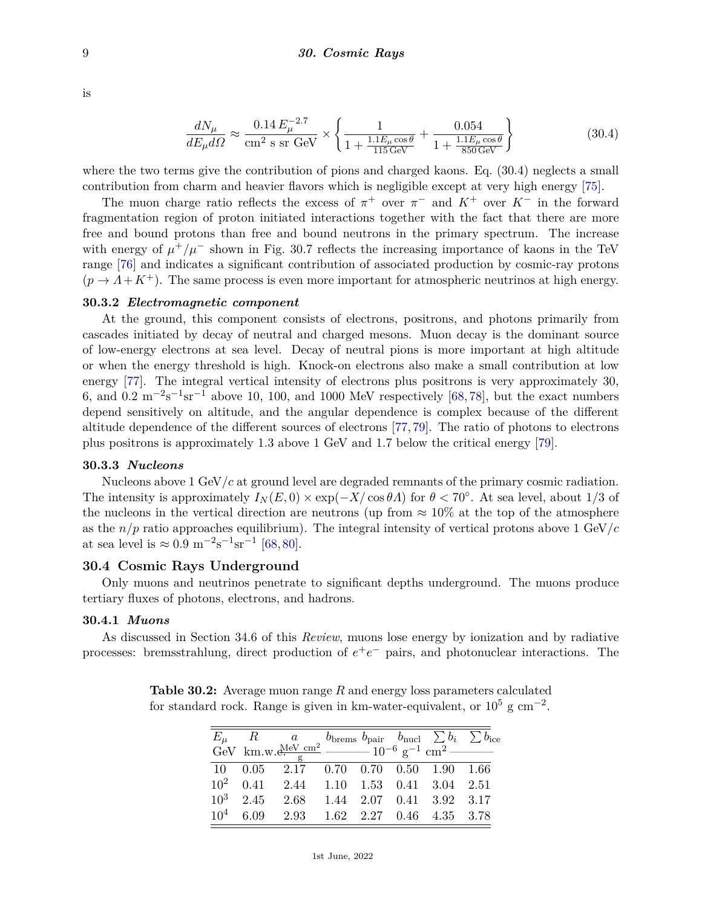is

$$
\frac{dN_{\mu}}{dE_{\mu}d\Omega} \approx \frac{0.14 \, E_{\mu}^{-2.7}}{\text{cm}^2 \text{ s sr GeV}} \times \left\{ \frac{1}{1 + \frac{1.1 E_{\mu} \cos \theta}{115 \text{ GeV}}} + \frac{0.054}{1 + \frac{1.1 E_{\mu} \cos \theta}{850 \text{ GeV}}} \right\}
$$
(30.4)

where the two terms give the contribution of pions and charged kaons. Eq. (30.4) neglects a small contribution from charm and heavier flavors which is negligible except at very high energy [\[75\]](#page-20-19).

The muon charge ratio reflects the excess of  $\pi$ <sup>+</sup> over  $\pi$ <sup>-</sup> and  $K$ <sup>+</sup> over  $K$ <sup>-</sup> in the forward fragmentation region of proton initiated interactions together with the fact that there are more free and bound protons than free and bound neutrons in the primary spectrum. The increase with energy of  $\mu^+/\mu^-$  shown in Fig. 30.7 reflects the increasing importance of kaons in the TeV range [\[76\]](#page-20-20) and indicates a significant contribution of associated production by cosmic-ray protons  $(p \rightarrow A + K^+)$ . The same process is even more important for atmospheric neutrinos at high energy.

### **30.3.2** *Electromagnetic component*

At the ground, this component consists of electrons, positrons, and photons primarily from cascades initiated by decay of neutral and charged mesons. Muon decay is the dominant source of low-energy electrons at sea level. Decay of neutral pions is more important at high altitude or when the energy threshold is high. Knock-on electrons also make a small contribution at low energy [\[77\]](#page-20-21). The integral vertical intensity of electrons plus positrons is very approximately 30, 6, and 0.2  $\mathrm{m}^{-2}\mathrm{s}^{-1}\mathrm{sr}^{-1}$  above 10, 100, and 1000 MeV respectively [\[68,](#page-20-12) [78\]](#page-20-22), but the exact numbers depend sensitively on altitude, and the angular dependence is complex because of the different altitude dependence of the different sources of electrons [\[77,](#page-20-21) [79\]](#page-20-23). The ratio of photons to electrons plus positrons is approximately 1.3 above 1 GeV and 1.7 below the critical energy [\[79\]](#page-20-23).

#### **30.3.3** *Nucleons*

Nucleons above 1 GeV/*c* at ground level are degraded remnants of the primary cosmic radiation. The intensity is approximately  $I_N(E, 0) \times \exp(-X/\cos \theta A)$  for  $\theta < 70^\circ$ . At sea level, about 1/3 of the nucleons in the vertical direction are neutrons (up from  $\approx 10\%$  at the top of the atmosphere as the *n/p* ratio approaches equilibrium). The integral intensity of vertical protons above 1 GeV/*c* at sea level is  $\approx 0.9 \text{ m}^{-2} \text{s}^{-1} \text{ sr}^{-1}$  [\[68,](#page-20-12)[80\]](#page-20-24).

### **30.4 Cosmic Rays Underground**

Only muons and neutrinos penetrate to significant depths underground. The muons produce tertiary fluxes of photons, electrons, and hadrons.

#### **30.4.1** *Muons*

As discussed in Section 34.6 of this *Review*, muons lose energy by ionization and by radiative processes: bremsstrahlung, direct production of  $e^+e^-$  pairs, and photonuclear interactions. The

|  | $E_{\mu}$ R a bbrems $b_{\text{pair}}$ $b_{\text{nucl}}$ $\sum b_i$ $\sum b_{\text{ice}}$<br>GeV km.w.e. $\frac{MeV \text{ cm}^2}{g}$ $\frac{b_{\text{prems}}}{g}$ $\frac{b_{\text{pair}}}{g^{-1} \text{ cm}^2}$ $\frac{b_{\text{ice}}}{g^{-1} \text{ cm}^2}$ |  |  |  |
|--|---------------------------------------------------------------------------------------------------------------------------------------------------------------------------------------------------------------------------------------------------------------|--|--|--|
|  | 10  0.05  2.17  0.70  0.70  0.50  1.90  1.66                                                                                                                                                                                                                  |  |  |  |
|  | $10^2$ 0.41 2.44 1.10 1.53 0.41 3.04 2.51                                                                                                                                                                                                                     |  |  |  |
|  | $10^3$ 2.45 2.68 1.44 2.07 0.41 3.92 3.17                                                                                                                                                                                                                     |  |  |  |
|  | $10^4$ 6.09 2.93 1.62 2.27 0.46 4.35 3.78                                                                                                                                                                                                                     |  |  |  |

**Table 30.2:** Average muon range *R* and energy loss parameters calculated for standard rock. Range is given in km-water-equivalent, or  $10^5$  g cm<sup>-2</sup>.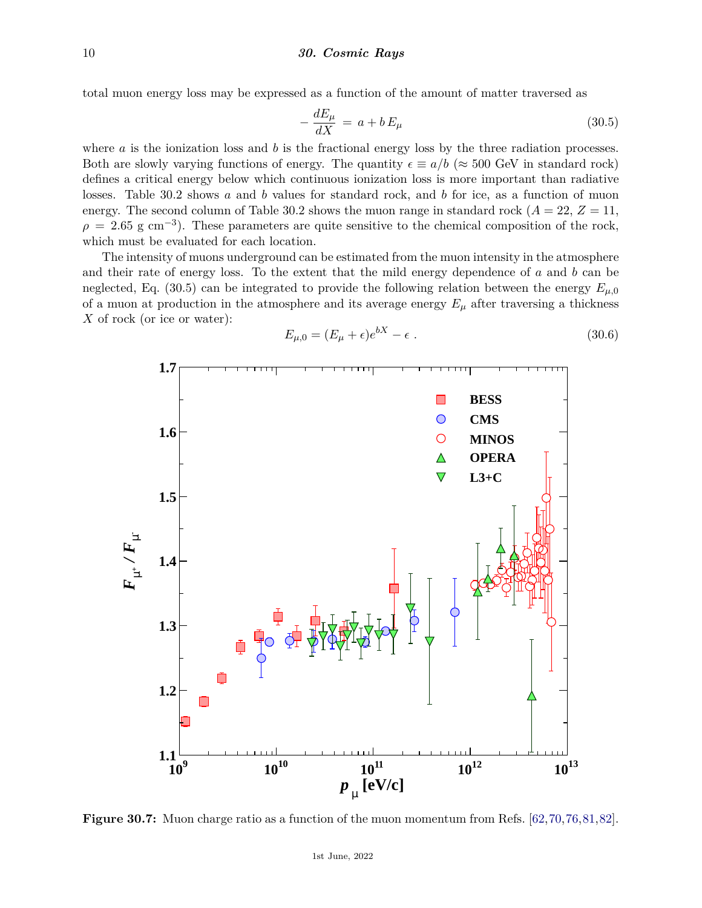total muon energy loss may be expressed as a function of the amount of matter traversed as

$$
-\frac{dE_{\mu}}{dX} = a + bE_{\mu} \tag{30.5}
$$

where *a* is the ionization loss and *b* is the fractional energy loss by the three radiation processes. Both are slowly varying functions of energy. The quantity  $\epsilon \equiv a/b$  ( $\approx 500$  GeV in standard rock) defines a critical energy below which continuous ionization loss is more important than radiative losses. Table 30.2 shows *a* and *b* values for standard rock, and *b* for ice, as a function of muon energy. The second column of Table 30.2 shows the muon range in standard rock ( $A = 22$ ,  $Z = 11$ ,  $\rho = 2.65$  g cm<sup>-3</sup>). These parameters are quite sensitive to the chemical composition of the rock, which must be evaluated for each location.

The intensity of muons underground can be estimated from the muon intensity in the atmosphere and their rate of energy loss. To the extent that the mild energy dependence of *a* and *b* can be neglected, Eq. (30.5) can be integrated to provide the following relation between the energy  $E_{\mu,0}$ of a muon at production in the atmosphere and its average energy  $E_{\mu}$  after traversing a thickness *X* of rock (or ice or water):

$$
E_{\mu,0} = (E_{\mu} + \epsilon)e^{bX} - \epsilon.
$$
\n(30.6)



**Figure 30.7:** Muon charge ratio as a function of the muon momentum from Refs. [\[62,](#page-20-6)[70,](#page-20-14)[76,](#page-20-20)[81,](#page-20-25)[82\]](#page-20-26).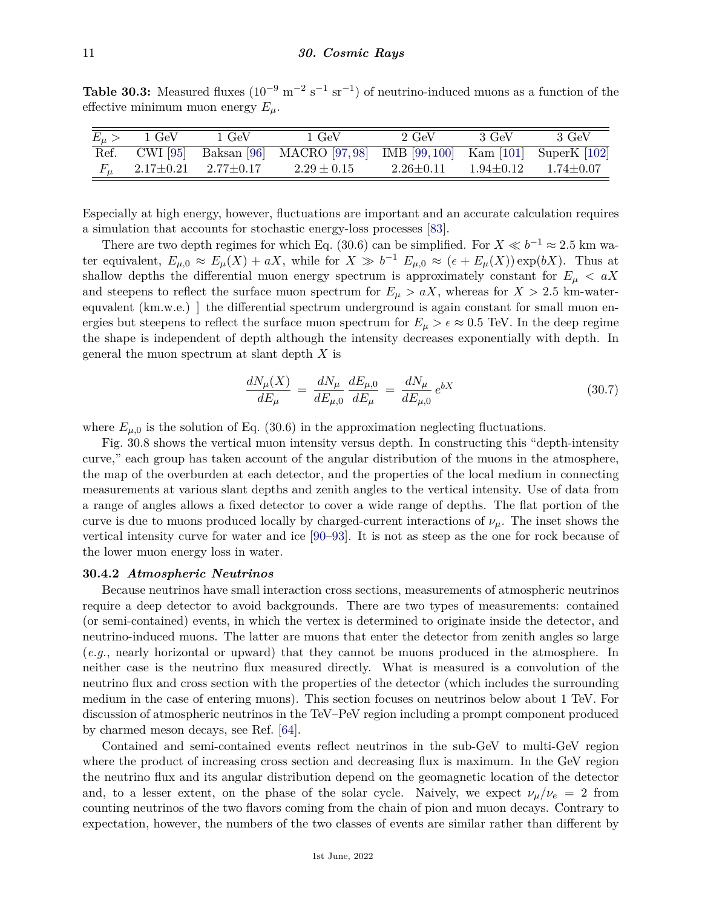**Table 30.3:** Measured fluxes  $(10^{-9} \text{ m}^{-2} \text{ s}^{-1} \text{ sr}^{-1})$  of neutrino-induced muons as a function of the effective minimum muon energy  $E_\mu$ .

| $E_\mu >$ | $1 \text{ GeV}$ | $1 \,\, \mathrm{GeV}$           | 1 GeV                                                                       | $2 \text{ GeV}$ | -3 GeV | -3 GeV                          |
|-----------|-----------------|---------------------------------|-----------------------------------------------------------------------------|-----------------|--------|---------------------------------|
|           |                 |                                 | Ref. CWI [95] Baksan [96] MACRO [97,98] IMB [99,100] Kam [101] SuperK [102] |                 |        |                                 |
|           |                 | $2.17{\pm}0.21$ $2.77{\pm}0.17$ | $2.29 \pm 0.15$                                                             | $2.26 \pm 0.11$ |        | $1.94 \pm 0.12$ $1.74 \pm 0.07$ |

Especially at high energy, however, fluctuations are important and an accurate calculation requires a simulation that accounts for stochastic energy-loss processes [\[83\]](#page-20-27).

There are two depth regimes for which Eq. (30.6) can be simplified. For  $X \ll b^{-1} \approx 2.5$  km water equivalent,  $E_{\mu,0} \approx E_{\mu}(X) + aX$ , while for  $X \gg b^{-1} E_{\mu,0} \approx (\epsilon + E_{\mu}(X)) \exp(bX)$ . Thus at shallow depths the differential muon energy spectrum is approximately constant for  $E_{\mu} < aX$ and steepens to reflect the surface muon spectrum for  $E<sub>u</sub> > aX$ , whereas for  $X > 2.5$  km-waterequvalent (km.w.e.) he differential spectrum underground is again constant for small muon energies but steepens to reflect the surface muon spectrum for  $E_\mu > \epsilon \approx 0.5$  TeV. In the deep regime the shape is independent of depth although the intensity decreases exponentially with depth. In general the muon spectrum at slant depth *X* is

$$
\frac{dN_{\mu}(X)}{dE_{\mu}} = \frac{dN_{\mu}}{dE_{\mu,0}} \frac{dE_{\mu,0}}{dE_{\mu}} = \frac{dN_{\mu}}{dE_{\mu,0}} e^{bX}
$$
\n(30.7)

where  $E_{\mu,0}$  is the solution of Eq. (30.6) in the approximation neglecting fluctuations.

Fig. 30.8 shows the vertical muon intensity versus depth. In constructing this "depth-intensity curve," each group has taken account of the angular distribution of the muons in the atmosphere, the map of the overburden at each detector, and the properties of the local medium in connecting measurements at various slant depths and zenith angles to the vertical intensity. Use of data from a range of angles allows a fixed detector to cover a wide range of depths. The flat portion of the curve is due to muons produced locally by charged-current interactions of *νµ*. The inset shows the vertical intensity curve for water and ice [\[90–](#page-21-8)[93\]](#page-21-9). It is not as steep as the one for rock because of the lower muon energy loss in water.

### **30.4.2** *Atmospheric Neutrinos*

Because neutrinos have small interaction cross sections, measurements of atmospheric neutrinos require a deep detector to avoid backgrounds. There are two types of measurements: contained (or semi-contained) events, in which the vertex is determined to originate inside the detector, and neutrino-induced muons. The latter are muons that enter the detector from zenith angles so large (*e.g.*, nearly horizontal or upward) that they cannot be muons produced in the atmosphere. In neither case is the neutrino flux measured directly. What is measured is a convolution of the neutrino flux and cross section with the properties of the detector (which includes the surrounding medium in the case of entering muons). This section focuses on neutrinos below about 1 TeV. For discussion of atmospheric neutrinos in the TeV–PeV region including a prompt component produced by charmed meson decays, see Ref. [\[64\]](#page-20-8).

Contained and semi-contained events reflect neutrinos in the sub-GeV to multi-GeV region where the product of increasing cross section and decreasing flux is maximum. In the GeV region the neutrino flux and its angular distribution depend on the geomagnetic location of the detector and, to a lesser extent, on the phase of the solar cycle. Naively, we expect  $\nu_{\mu}/\nu_{e} = 2$  from counting neutrinos of the two flavors coming from the chain of pion and muon decays. Contrary to expectation, however, the numbers of the two classes of events are similar rather than different by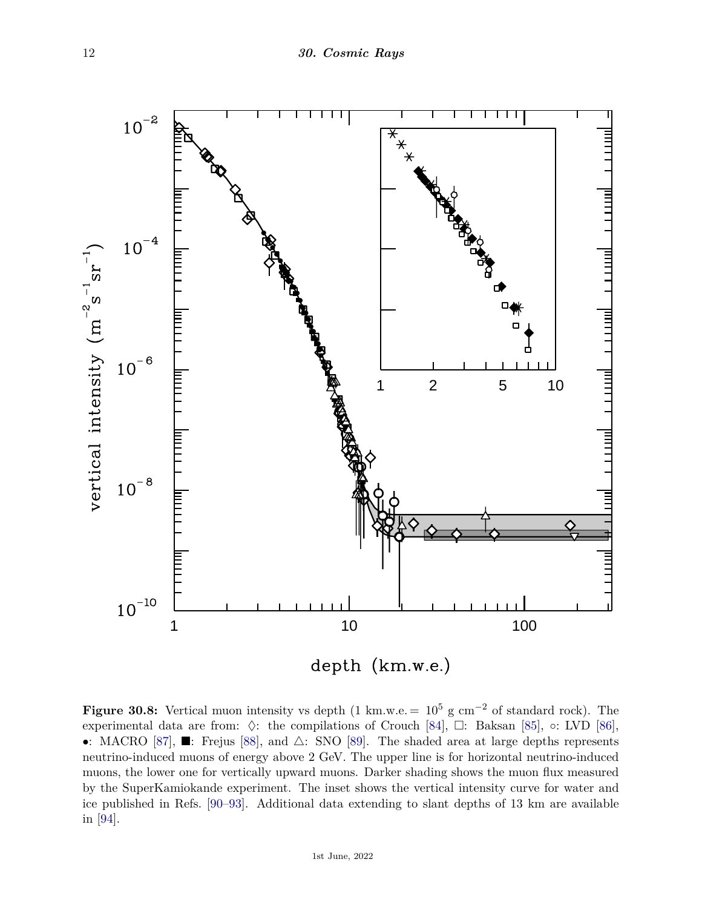

**Figure 30.8:** Vertical muon intensity vs depth (1 km.w.e. =  $10^5$  g cm<sup>-2</sup> of standard rock). The experimental data are from:  $\Diamond$ : the compilations of Crouch [\[84\]](#page-20-28),  $\Box$ : Baksan [\[85\]](#page-20-29), ◦: LVD [\[86\]](#page-20-30), •: MACRO [\[87\]](#page-21-10),  $\blacksquare$ : Frejus [\[88\]](#page-21-11), and  $\triangle$ : SNO [\[89\]](#page-21-12). The shaded area at large depths represents neutrino-induced muons of energy above 2 GeV. The upper line is for horizontal neutrino-induced muons, the lower one for vertically upward muons. Darker shading shows the muon flux measured by the SuperKamiokande experiment. The inset shows the vertical intensity curve for water and ice published in Refs. [\[90–](#page-21-8)[93\]](#page-21-9). Additional data extending to slant depths of 13 km are available in [\[94\]](#page-21-13).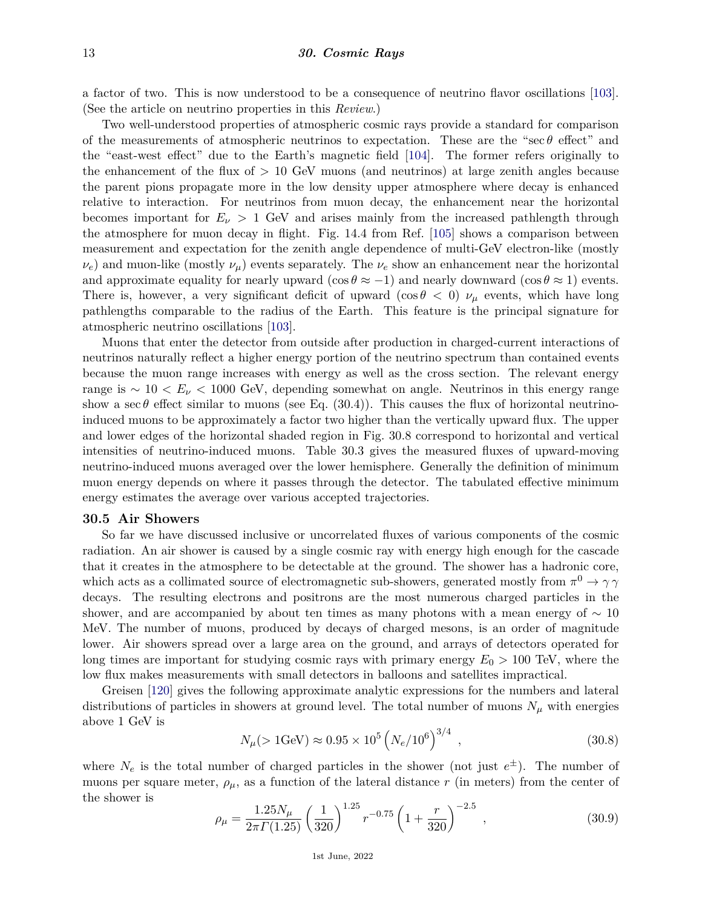a factor of two. This is now understood to be a consequence of neutrino flavor oscillations [\[103\]](#page-21-14). (See the article on neutrino properties in this *Review*.)

Two well-understood properties of atmospheric cosmic rays provide a standard for comparison of the measurements of atmospheric neutrinos to expectation. These are the "sec *θ* effect" and the "east-west effect" due to the Earth's magnetic field [\[104\]](#page-21-15). The former refers originally to the enhancement of the flux of *>* 10 GeV muons (and neutrinos) at large zenith angles because the parent pions propagate more in the low density upper atmosphere where decay is enhanced relative to interaction. For neutrinos from muon decay, the enhancement near the horizontal becomes important for  $E_\nu > 1$  GeV and arises mainly from the increased pathlength through the atmosphere for muon decay in flight. Fig. 14.4 from Ref. [\[105\]](#page-21-16) shows a comparison between measurement and expectation for the zenith angle dependence of multi-GeV electron-like (mostly  $\nu_e$ ) and muon-like (mostly  $\nu_\mu$ ) events separately. The  $\nu_e$  show an enhancement near the horizontal and approximate equality for nearly upward (cos  $\theta \approx -1$ ) and nearly downward (cos  $\theta \approx 1$ ) events. There is, however, a very significant deficit of upward ( $\cos \theta < 0$ )  $\nu_{\mu}$  events, which have long pathlengths comparable to the radius of the Earth. This feature is the principal signature for atmospheric neutrino oscillations [\[103\]](#page-21-14).

Muons that enter the detector from outside after production in charged-current interactions of neutrinos naturally reflect a higher energy portion of the neutrino spectrum than contained events because the muon range increases with energy as well as the cross section. The relevant energy range is ∼ 10 *< E<sup>ν</sup> <* 1000 GeV, depending somewhat on angle. Neutrinos in this energy range show a sec  $\theta$  effect similar to muons (see Eq. (30.4)). This causes the flux of horizontal neutrinoinduced muons to be approximately a factor two higher than the vertically upward flux. The upper and lower edges of the horizontal shaded region in Fig. 30.8 correspond to horizontal and vertical intensities of neutrino-induced muons. Table 30.3 gives the measured fluxes of upward-moving neutrino-induced muons averaged over the lower hemisphere. Generally the definition of minimum muon energy depends on where it passes through the detector. The tabulated effective minimum energy estimates the average over various accepted trajectories.

### **30.5 Air Showers**

So far we have discussed inclusive or uncorrelated fluxes of various components of the cosmic radiation. An air shower is caused by a single cosmic ray with energy high enough for the cascade that it creates in the atmosphere to be detectable at the ground. The shower has a hadronic core, which acts as a collimated source of electromagnetic sub-showers, generated mostly from  $\pi^0 \to \gamma \gamma$ decays. The resulting electrons and positrons are the most numerous charged particles in the shower, and are accompanied by about ten times as many photons with a mean energy of  $\sim 10$ MeV. The number of muons, produced by decays of charged mesons, is an order of magnitude lower. Air showers spread over a large area on the ground, and arrays of detectors operated for long times are important for studying cosmic rays with primary energy *E*<sup>0</sup> *>* 100 TeV, where the low flux makes measurements with small detectors in balloons and satellites impractical.

Greisen [\[120\]](#page-22-0) gives the following approximate analytic expressions for the numbers and lateral distributions of particles in showers at ground level. The total number of muons  $N_\mu$  with energies above 1 GeV is

$$
N_{\mu} (> 1 \text{GeV}) \approx 0.95 \times 10^5 \left( N_e / 10^6 \right)^{3/4} , \qquad (30.8)
$$

where  $N_e$  is the total number of charged particles in the shower (not just  $e^{\pm}$ ). The number of muons per square meter,  $\rho_{\mu}$ , as a function of the lateral distance *r* (in meters) from the center of the shower is

$$
\rho_{\mu} = \frac{1.25 N_{\mu}}{2\pi \Gamma(1.25)} \left(\frac{1}{320}\right)^{1.25} r^{-0.75} \left(1 + \frac{r}{320}\right)^{-2.5},\tag{30.9}
$$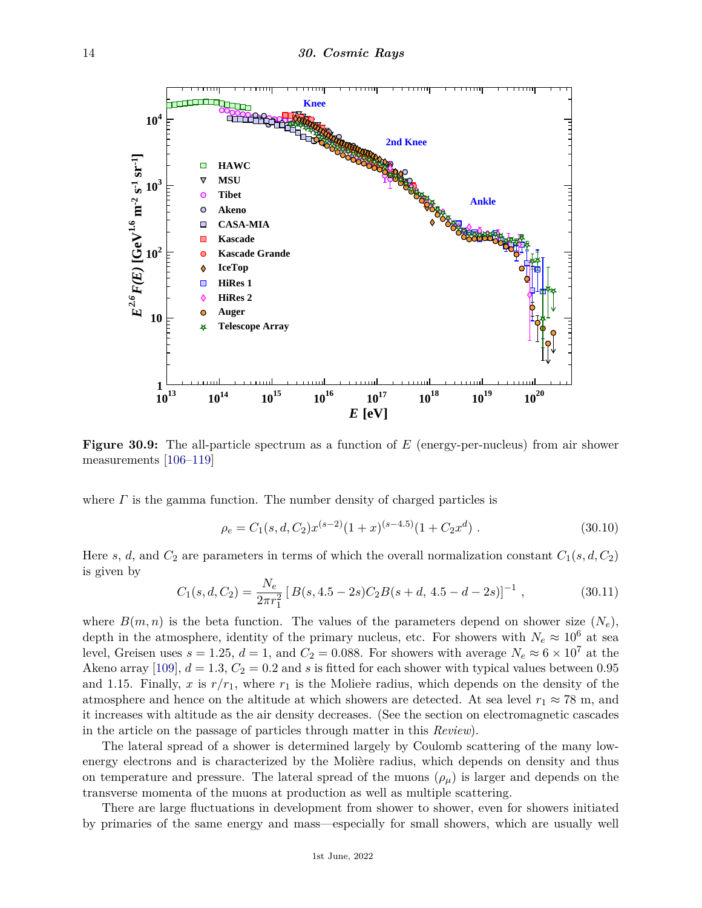

**Figure 30.9:** The all-particle spectrum as a function of *E* (energy-per-nucleus) from air shower measurements [\[106–](#page-21-17)[119\]](#page-22-1)

where *Γ* is the gamma function. The number density of charged particles is

$$
\rho_e = C_1(s, d, C_2) x^{(s-2)} (1+x)^{(s-4.5)} (1+C_2 x^d) \tag{30.10}
$$

Here *s*, *d*, and  $C_2$  are parameters in terms of which the overall normalization constant  $C_1(s, d, C_2)$ is given by

$$
C_1(s, d, C_2) = \frac{N_e}{2\pi r_1^2} \left[ B(s, 4.5 - 2s) C_2 B(s + d, 4.5 - d - 2s) \right]^{-1}, \tag{30.11}
$$

where  $B(m, n)$  is the beta function. The values of the parameters depend on shower size  $(N_e)$ , depth in the atmosphere, identity of the primary nucleus, etc. For showers with  $N_e \approx 10^6$  at sea level, Greisen uses  $s = 1.25$ ,  $d = 1$ , and  $C_2 = 0.088$ . For showers with average  $N_e \approx 6 \times 10^7$  at the Akeno array [\[109\]](#page-21-18),  $d = 1.3$ ,  $C_2 = 0.2$  and s is fitted for each shower with typical values between 0.95 and 1.15. Finally, x is  $r/r_1$ , where  $r_1$  is the Moliere radius, which depends on the density of the atmosphere and hence on the altitude at which showers are detected. At sea level  $r_1 \approx 78$  m, and it increases with altitude as the air density decreases. (See the section on electromagnetic cascades in the article on the passage of particles through matter in this *Review*).

The lateral spread of a shower is determined largely by Coulomb scattering of the many lowenergy electrons and is characterized by the Molière radius, which depends on density and thus on temperature and pressure. The lateral spread of the muons  $(\rho_{\mu})$  is larger and depends on the transverse momenta of the muons at production as well as multiple scattering.

There are large fluctuations in development from shower to shower, even for showers initiated by primaries of the same energy and mass—especially for small showers, which are usually well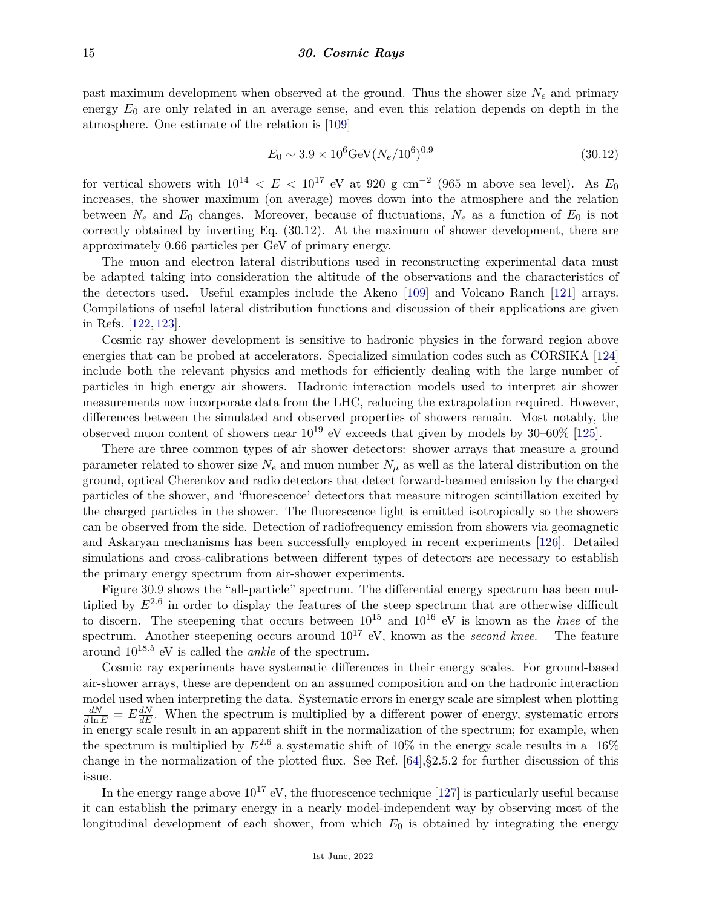past maximum development when observed at the ground. Thus the shower size *N<sup>e</sup>* and primary energy  $E_0$  are only related in an average sense, and even this relation depends on depth in the atmosphere. One estimate of the relation is [\[109\]](#page-21-18)

$$
E_0 \sim 3.9 \times 10^6 \text{GeV} (N_e / 10^6)^{0.9} \tag{30.12}
$$

for vertical showers with  $10^{14} < E < 10^{17}$  eV at 920 g cm<sup>-2</sup> (965 m above sea level). As  $E_0$ increases, the shower maximum (on average) moves down into the atmosphere and the relation between  $N_e$  and  $E_0$  changes. Moreover, because of fluctuations,  $N_e$  as a function of  $E_0$  is not correctly obtained by inverting Eq. (30.12). At the maximum of shower development, there are approximately 0.66 particles per GeV of primary energy.

The muon and electron lateral distributions used in reconstructing experimental data must be adapted taking into consideration the altitude of the observations and the characteristics of the detectors used. Useful examples include the Akeno [\[109\]](#page-21-18) and Volcano Ranch [\[121\]](#page-22-2) arrays. Compilations of useful lateral distribution functions and discussion of their applications are given in Refs. [\[122,](#page-22-3) [123\]](#page-22-4).

Cosmic ray shower development is sensitive to hadronic physics in the forward region above energies that can be probed at accelerators. Specialized simulation codes such as CORSIKA [\[124\]](#page-22-5) include both the relevant physics and methods for efficiently dealing with the large number of particles in high energy air showers. Hadronic interaction models used to interpret air shower measurements now incorporate data from the LHC, reducing the extrapolation required. However, differences between the simulated and observed properties of showers remain. Most notably, the observed muon content of showers near  $10^{19}$  eV exceeds that given by models by 30–60% [\[125\]](#page-22-6).

There are three common types of air shower detectors: shower arrays that measure a ground parameter related to shower size  $N_e$  and muon number  $N_\mu$  as well as the lateral distribution on the ground, optical Cherenkov and radio detectors that detect forward-beamed emission by the charged particles of the shower, and 'fluorescence' detectors that measure nitrogen scintillation excited by the charged particles in the shower. The fluorescence light is emitted isotropically so the showers can be observed from the side. Detection of radiofrequency emission from showers via geomagnetic and Askaryan mechanisms has been successfully employed in recent experiments [\[126\]](#page-22-7). Detailed simulations and cross-calibrations between different types of detectors are necessary to establish the primary energy spectrum from air-shower experiments.

Figure 30.9 shows the "all-particle" spectrum. The differential energy spectrum has been multiplied by *E*2*.*<sup>6</sup> in order to display the features of the steep spectrum that are otherwise difficult to discern. The steepening that occurs between 10<sup>15</sup> and 10<sup>16</sup> eV is known as the *knee* of the spectrum. Another steepening occurs around  $10^{17}$  eV, known as the *second knee*. The feature around 1018*.*<sup>5</sup> eV is called the *ankle* of the spectrum.

Cosmic ray experiments have systematic differences in their energy scales. For ground-based air-shower arrays, these are dependent on an assumed composition and on the hadronic interaction model used when interpreting the data. Systematic errors in energy scale are simplest when plotting  $\frac{dN}{d\ln E} = E \frac{dN}{dE}$ . When the spectrum is multiplied by a different power of energy, systematic errors  $\frac{dE}{dt}$  in energy scale result in an apparent shift in the normalization of the spectrum; for example, when the spectrum is multiplied by  $E^{2.6}$  a systematic shift of 10% in the energy scale results in a 16% change in the normalization of the plotted flux. See Ref. [\[64\]](#page-20-8),§2.5.2 for further discussion of this issue.

In the energy range above  $10^{17}$  eV, the fluorescence technique [\[127\]](#page-22-8) is particularly useful because it can establish the primary energy in a nearly model-independent way by observing most of the longitudinal development of each shower, from which  $E_0$  is obtained by integrating the energy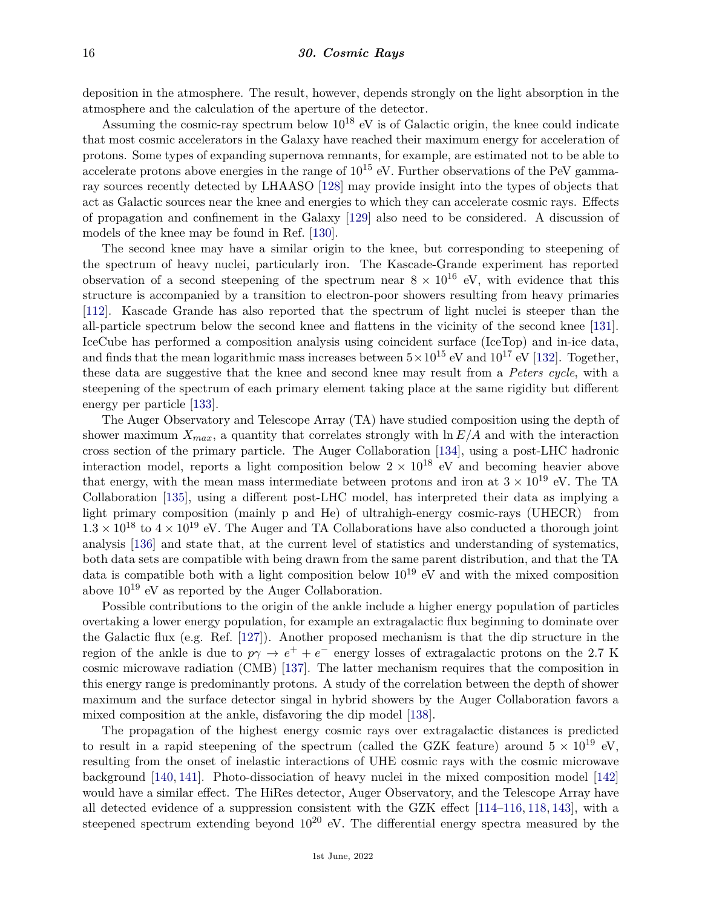deposition in the atmosphere. The result, however, depends strongly on the light absorption in the atmosphere and the calculation of the aperture of the detector.

Assuming the cosmic-ray spectrum below  $10^{18}$  eV is of Galactic origin, the knee could indicate that most cosmic accelerators in the Galaxy have reached their maximum energy for acceleration of protons. Some types of expanding supernova remnants, for example, are estimated not to be able to accelerate protons above energies in the range of  $10^{15}$  eV. Further observations of the PeV gammaray sources recently detected by LHAASO [\[128\]](#page-22-9) may provide insight into the types of objects that act as Galactic sources near the knee and energies to which they can accelerate cosmic rays. Effects of propagation and confinement in the Galaxy [\[129\]](#page-22-10) also need to be considered. A discussion of models of the knee may be found in Ref. [\[130\]](#page-22-11).

The second knee may have a similar origin to the knee, but corresponding to steepening of the spectrum of heavy nuclei, particularly iron. The Kascade-Grande experiment has reported observation of a second steepening of the spectrum near  $8 \times 10^{16}$  eV, with evidence that this structure is accompanied by a transition to electron-poor showers resulting from heavy primaries [\[112\]](#page-21-19). Kascade Grande has also reported that the spectrum of light nuclei is steeper than the all-particle spectrum below the second knee and flattens in the vicinity of the second knee [\[131\]](#page-22-12). IceCube has performed a composition analysis using coincident surface (IceTop) and in-ice data, and finds that the mean logarithmic mass increases between  $5 \times 10^{15}$  eV and  $10^{17}$  eV [\[132\]](#page-22-13). Together, these data are suggestive that the knee and second knee may result from a *Peters cycle*, with a steepening of the spectrum of each primary element taking place at the same rigidity but different energy per particle [\[133\]](#page-22-14).

The Auger Observatory and Telescope Array (TA) have studied composition using the depth of shower maximum  $X_{max}$ , a quantity that correlates strongly with  $\ln E/A$  and with the interaction cross section of the primary particle. The Auger Collaboration [\[134\]](#page-22-15), using a post-LHC hadronic interaction model, reports a light composition below  $2 \times 10^{18}$  eV and becoming heavier above that energy, with the mean mass intermediate between protons and iron at  $3 \times 10^{19}$  eV. The TA Collaboration [\[135\]](#page-22-16), using a different post-LHC model, has interpreted their data as implying a light primary composition (mainly p and He) of ultrahigh-energy cosmic-rays (UHECR) from  $1.3 \times 10^{18}$  to  $4 \times 10^{19}$  eV. The Auger and TA Collaborations have also conducted a thorough joint analysis [\[136\]](#page-22-17) and state that, at the current level of statistics and understanding of systematics, both data sets are compatible with being drawn from the same parent distribution, and that the TA data is compatible both with a light composition below  $10^{19}$  eV and with the mixed composition above  $10^{19}$  eV as reported by the Auger Collaboration.

Possible contributions to the origin of the ankle include a higher energy population of particles overtaking a lower energy population, for example an extragalactic flux beginning to dominate over the Galactic flux (e.g. Ref. [\[127\]](#page-22-8)). Another proposed mechanism is that the dip structure in the region of the ankle is due to  $p\gamma \to e^+ + e^-$  energy losses of extragalactic protons on the 2.7 K cosmic microwave radiation (CMB) [\[137\]](#page-22-18). The latter mechanism requires that the composition in this energy range is predominantly protons. A study of the correlation between the depth of shower maximum and the surface detector singal in hybrid showers by the Auger Collaboration favors a mixed composition at the ankle, disfavoring the dip model [\[138\]](#page-22-19).

The propagation of the highest energy cosmic rays over extragalactic distances is predicted to result in a rapid steepening of the spectrum (called the GZK feature) around  $5 \times 10^{19}$  eV, resulting from the onset of inelastic interactions of UHE cosmic rays with the cosmic microwave background [\[140,](#page-22-20) [141\]](#page-22-21). Photo-dissociation of heavy nuclei in the mixed composition model [\[142\]](#page-22-22) would have a similar effect. The HiRes detector, Auger Observatory, and the Telescope Array have all detected evidence of a suppression consistent with the GZK effect [\[114–](#page-21-20)[116,](#page-21-21) [118,](#page-21-22) [143\]](#page-22-23), with a steepened spectrum extending beyond  $10^{20}$  eV. The differential energy spectra measured by the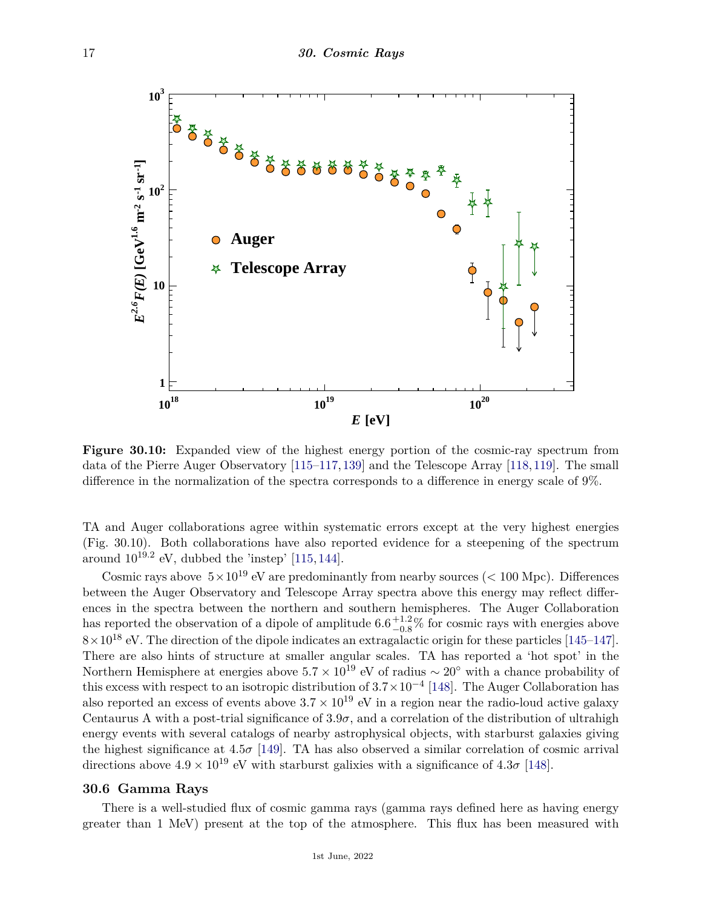

**Figure 30.10:** Expanded view of the highest energy portion of the cosmic-ray spectrum from data of the Pierre Auger Observatory [\[115](#page-21-23)[–117,](#page-21-24)[139\]](#page-22-24) and the Telescope Array [\[118,](#page-21-22)[119\]](#page-22-1). The small difference in the normalization of the spectra corresponds to a difference in energy scale of 9%.

TA and Auger collaborations agree within systematic errors except at the very highest energies (Fig. 30.10). Both collaborations have also reported evidence for a steepening of the spectrum around  $10^{19.2}$  eV, dubbed the 'instep' [\[115,](#page-21-23) [144\]](#page-22-25).

Cosmic rays above  $5 \times 10^{19}$  eV are predominantly from nearby sources ( $< 100$  Mpc). Differences between the Auger Observatory and Telescope Array spectra above this energy may reflect differences in the spectra between the northern and southern hemispheres. The Auger Collaboration has reported the observation of a dipole of amplitude  $6.6^{+1.2}_{-0.8}\%$  for cosmic rays with energies above  $8 \times 10^{18}$  eV. The direction of the dipole indicates an extragalactic origin for these particles [\[145–](#page-22-26)[147\]](#page-22-27). There are also hints of structure at smaller angular scales. TA has reported a 'hot spot' in the Northern Hemisphere at energies above  $5.7 \times 10^{19}$  eV of radius ~ 20<sup>°</sup> with a chance probability of this excess with respect to an isotropic distribution of 3*.*7×10−<sup>4</sup> [\[148\]](#page-22-28). The Auger Collaboration has also reported an excess of events above  $3.7 \times 10^{19}$  eV in a region near the radio-loud active galaxy Centaurus A with a post-trial significance of  $3.9\sigma$ , and a correlation of the distribution of ultrahigh energy events with several catalogs of nearby astrophysical objects, with starburst galaxies giving the highest significance at  $4.5\sigma$  [\[149\]](#page-22-29). TA has also observed a similar correlation of cosmic arrival directions above  $4.9 \times 10^{19}$  eV with starburst galixies with a significance of  $4.3\sigma$  [\[148\]](#page-22-28).

#### **30.6 Gamma Rays**

There is a well-studied flux of cosmic gamma rays (gamma rays defined here as having energy greater than 1 MeV) present at the top of the atmosphere. This flux has been measured with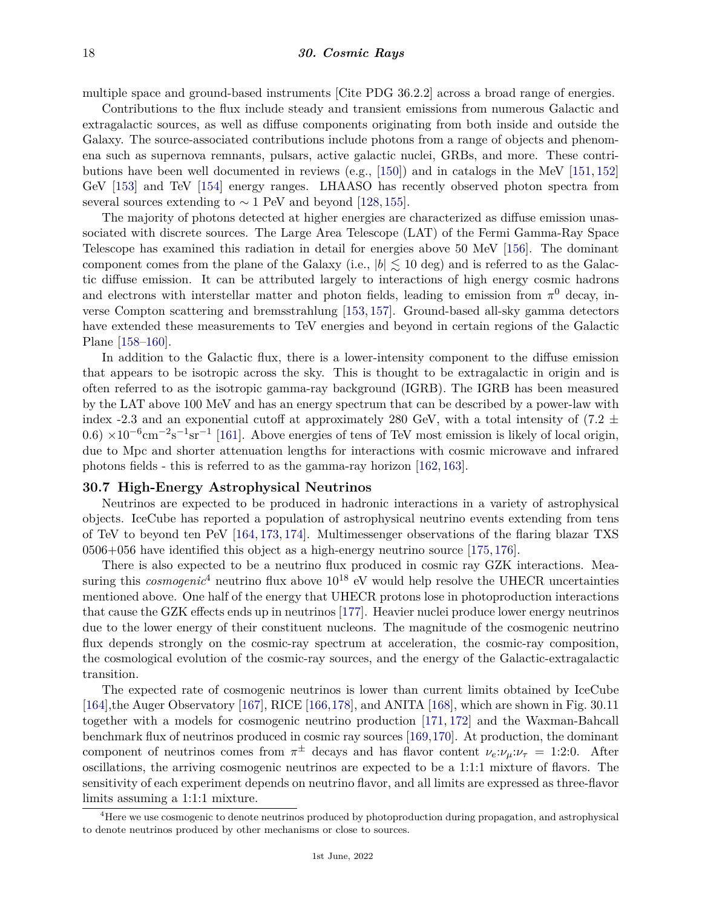multiple space and ground-based instruments [Cite PDG 36.2.2] across a broad range of energies.

Contributions to the flux include steady and transient emissions from numerous Galactic and extragalactic sources, as well as diffuse components originating from both inside and outside the Galaxy. The source-associated contributions include photons from a range of objects and phenomena such as supernova remnants, pulsars, active galactic nuclei, GRBs, and more. These contributions have been well documented in reviews (e.g., [\[150\]](#page-22-30)) and in catalogs in the MeV [\[151,](#page-22-31) [152\]](#page-22-32) GeV [\[153\]](#page-22-33) and TeV [\[154\]](#page-22-34) energy ranges. LHAASO has recently observed photon spectra from several sources extending to  $\sim 1$  PeV and beyond [\[128,](#page-22-9) [155\]](#page-23-0).

The majority of photons detected at higher energies are characterized as diffuse emission unassociated with discrete sources. The Large Area Telescope (LAT) of the Fermi Gamma-Ray Space Telescope has examined this radiation in detail for energies above 50 MeV [\[156\]](#page-23-1). The dominant component comes from the plane of the Galaxy (i.e.,  $|b| \lesssim 10$  deg) and is referred to as the Galactic diffuse emission. It can be attributed largely to interactions of high energy cosmic hadrons and electrons with interstellar matter and photon fields, leading to emission from  $\pi^0$  decay, inverse Compton scattering and bremsstrahlung [\[153,](#page-22-33) [157\]](#page-23-2). Ground-based all-sky gamma detectors have extended these measurements to TeV energies and beyond in certain regions of the Galactic Plane [\[158](#page-23-3)[–160\]](#page-23-4).

In addition to the Galactic flux, there is a lower-intensity component to the diffuse emission that appears to be isotropic across the sky. This is thought to be extragalactic in origin and is often referred to as the isotropic gamma-ray background (IGRB). The IGRB has been measured by the LAT above 100 MeV and has an energy spectrum that can be described by a power-law with index -2.3 and an exponential cutoff at approximately 280 GeV, with a total intensity of  $(7.2 \pm 1.00)$  $(0.6) \times 10^{-6}$  cm<sup>-2</sup>s<sup>-1</sup>sr<sup>-1</sup> [\[161\]](#page-23-5). Above energies of tens of TeV most emission is likely of local origin, due to Mpc and shorter attenuation lengths for interactions with cosmic microwave and infrared photons fields - this is referred to as the gamma-ray horizon [\[162,](#page-23-6) [163\]](#page-23-7).

# **30.7 High-Energy Astrophysical Neutrinos**

Neutrinos are expected to be produced in hadronic interactions in a variety of astrophysical objects. IceCube has reported a population of astrophysical neutrino events extending from tens of TeV to beyond ten PeV [\[164,](#page-23-8) [173,](#page-23-9) [174\]](#page-23-10). Multimessenger observations of the flaring blazar TXS 0506+056 have identified this object as a high-energy neutrino source [\[175,](#page-23-11) [176\]](#page-23-12).

There is also expected to be a neutrino flux produced in cosmic ray GZK interactions. Measuring this *cosmogenic*<sup>[4](#page-17-0)</sup> neutrino flux above  $10^{18}$  eV would help resolve the UHECR uncertainties mentioned above. One half of the energy that UHECR protons lose in photoproduction interactions that cause the GZK effects ends up in neutrinos [\[177\]](#page-23-13). Heavier nuclei produce lower energy neutrinos due to the lower energy of their constituent nucleons. The magnitude of the cosmogenic neutrino flux depends strongly on the cosmic-ray spectrum at acceleration, the cosmic-ray composition, the cosmological evolution of the cosmic-ray sources, and the energy of the Galactic-extragalactic transition.

The expected rate of cosmogenic neutrinos is lower than current limits obtained by IceCube [\[164\]](#page-23-8),the Auger Observatory [\[167\]](#page-23-14), RICE [\[166,](#page-23-15)[178\]](#page-23-16), and ANITA [\[168\]](#page-23-17), which are shown in Fig. 30.11 together with a models for cosmogenic neutrino production [\[171,](#page-23-18) [172\]](#page-23-19) and the Waxman-Bahcall benchmark flux of neutrinos produced in cosmic ray sources [\[169,](#page-23-20)[170\]](#page-23-21). At production, the dominant component of neutrinos comes from  $\pi^{\pm}$  decays and has flavor content  $\nu_e:\nu_\mu:\nu_\tau = 1:2:0$ . After oscillations, the arriving cosmogenic neutrinos are expected to be a 1:1:1 mixture of flavors. The sensitivity of each experiment depends on neutrino flavor, and all limits are expressed as three-flavor limits assuming a 1:1:1 mixture.

<span id="page-17-0"></span> $^{4}$ Here we use cosmogenic to denote neutrinos produced by photoproduction during propagation, and astrophysical to denote neutrinos produced by other mechanisms or close to sources.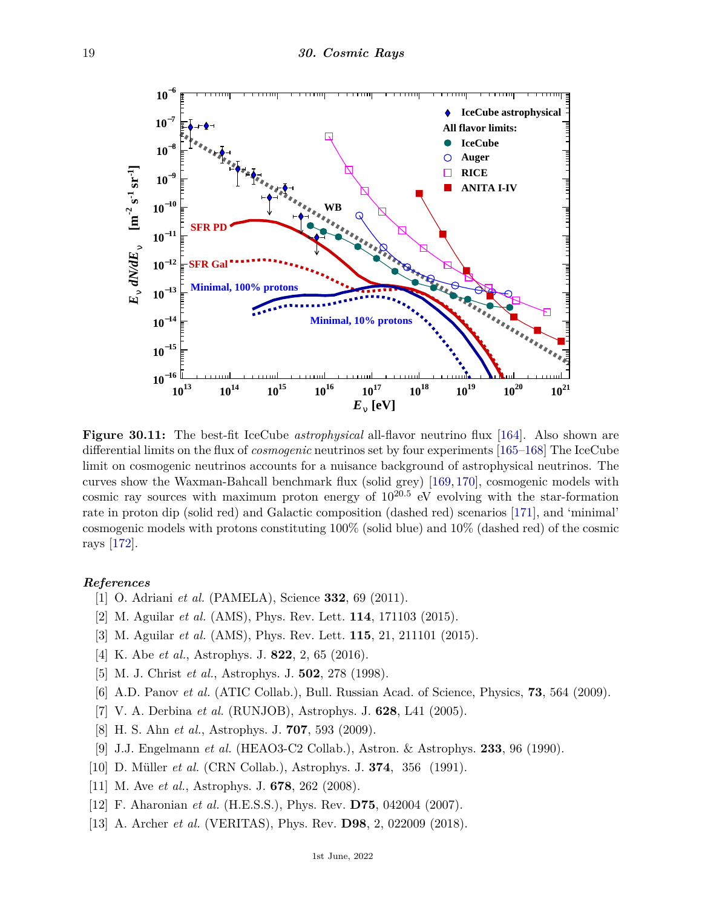

**Figure 30.11:** The best-fit IceCube *astrophysical* all-flavor neutrino flux [\[164\]](#page-23-8). Also shown are differential limits on the flux of *cosmogenic* neutrinos set by four experiments [\[165–](#page-23-22)[168\]](#page-23-17) The IceCube limit on cosmogenic neutrinos accounts for a nuisance background of astrophysical neutrinos. The curves show the Waxman-Bahcall benchmark flux (solid grey) [\[169,](#page-23-20) [170\]](#page-23-21), cosmogenic models with cosmic ray sources with maximum proton energy of  $10^{20.5}$  eV evolving with the star-formation rate in proton dip (solid red) and Galactic composition (dashed red) scenarios [\[171\]](#page-23-18), and 'minimal' cosmogenic models with protons constituting 100% (solid blue) and 10% (dashed red) of the cosmic rays [\[172\]](#page-23-19).

#### <span id="page-18-0"></span>*References*

- [1] O. Adriani *et al.* (PAMELA), Science **332**, 69 (2011).
- <span id="page-18-3"></span>[2] M. Aguilar *et al.* (AMS), Phys. Rev. Lett. **114**, 171103 (2015).
- <span id="page-18-1"></span>[3] M. Aguilar *et al.* (AMS), Phys. Rev. Lett. **115**, 21, 211101 (2015).
- <span id="page-18-4"></span>[4] K. Abe *et al.*, Astrophys. J. **822**, 2, 65 (2016).
- [5] M. J. Christ *et al.*, Astrophys. J. **502**, 278 (1998).
- [6] A.D. Panov *et al.* (ATIC Collab.), Bull. Russian Acad. of Science, Physics, **73**, 564 (2009).
- [7] V. A. Derbina *et al.* (RUNJOB), Astrophys. J. **628**, L41 (2005).
- [8] H. S. Ahn *et al.*, Astrophys. J. **707**, 593 (2009).
- <span id="page-18-2"></span>[9] J.J. Engelmann *et al.* (HEAO3-C2 Collab.), Astron. & Astrophys. **233**, 96 (1990).
- [10] D. Müller *et al.* (CRN Collab.), Astrophys. J. **374**, 356 (1991).
- [11] M. Ave *et al.*, Astrophys. J. **678**, 262 (2008).
- [12] F. Aharonian *et al.* (H.E.S.S.), Phys. Rev. **D75**, 042004 (2007).
- [13] A. Archer *et al.* (VERITAS), Phys. Rev. **D98**, 2, 022009 (2018).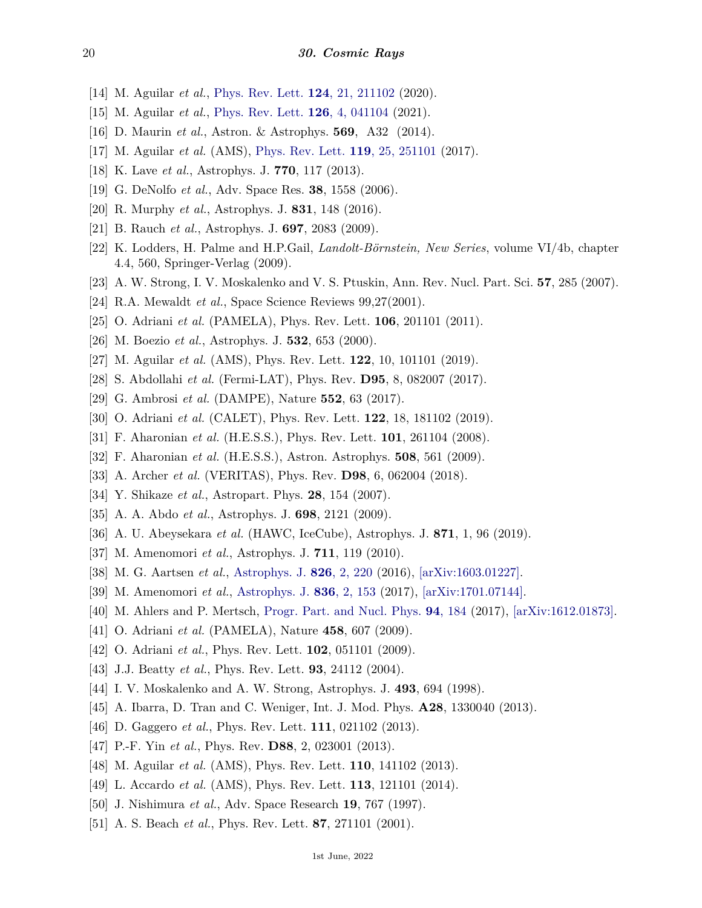- [14] M. Aguilar *et al.*, [Phys. Rev. Lett.](http://doi.org/10.1103/PhysRevLett.124.211102) **124**[, 21, 211102](http://doi.org/10.1103/PhysRevLett.124.211102) (2020).
- <span id="page-19-0"></span>[15] M. Aguilar *et al.*, [Phys. Rev. Lett.](http://doi.org/10.1103/PhysRevLett.126.041104) **126**[, 4, 041104](http://doi.org/10.1103/PhysRevLett.126.041104) (2021).
- <span id="page-19-1"></span>[16] D. Maurin *et al.*, Astron. & Astrophys. **569**, A32 (2014).
- <span id="page-19-2"></span>[17] M. Aguilar *et al.* (AMS), [Phys. Rev. Lett.](http://doi.org/10.1103/PhysRevLett.119.251101) **119**[, 25, 251101](http://doi.org/10.1103/PhysRevLett.119.251101) (2017).
- <span id="page-19-3"></span>[18] K. Lave *et al.*, Astrophys. J. **770**, 117 (2013).
- <span id="page-19-4"></span>[19] G. DeNolfo *et al.*, Adv. Space Res. **38**, 1558 (2006).
- <span id="page-19-5"></span>[20] R. Murphy *et al.*, Astrophys. J. **831**, 148 (2016).
- <span id="page-19-6"></span>[21] B. Rauch *et al.*, Astrophys. J. **697**, 2083 (2009).
- <span id="page-19-7"></span>[22] K. Lodders, H. Palme and H.P.Gail, *Landolt-Börnstein, New Series*, volume VI/4b, chapter 4.4, 560, Springer-Verlag (2009).
- <span id="page-19-9"></span><span id="page-19-8"></span>[23] A. W. Strong, I. V. Moskalenko and V. S. Ptuskin, Ann. Rev. Nucl. Part. Sci. **57**, 285 (2007).
- [24] R.A. Mewaldt *et al.*, Space Science Reviews 99,27(2001).
- <span id="page-19-10"></span>[25] O. Adriani *et al.* (PAMELA), Phys. Rev. Lett. **106**, 201101 (2011).
- [26] M. Boezio *et al.*, Astrophys. J. **532**, 653 (2000).
- <span id="page-19-16"></span>[27] M. Aguilar *et al.* (AMS), Phys. Rev. Lett. **122**, 10, 101101 (2019).
- [28] S. Abdollahi *et al.* (Fermi-LAT), Phys. Rev. **D95**, 8, 082007 (2017).
- <span id="page-19-23"></span>[29] G. Ambrosi *et al.* (DAMPE), Nature **552**, 63 (2017).
- [30] O. Adriani *et al.* (CALET), Phys. Rev. Lett. **122**, 18, 181102 (2019).
- <span id="page-19-24"></span>[31] F. Aharonian *et al.* (H.E.S.S.), Phys. Rev. Lett. **101**, 261104 (2008).
- [32] F. Aharonian *et al.* (H.E.S.S.), Astron. Astrophys. **508**, 561 (2009).
- <span id="page-19-11"></span>[33] A. Archer *et al.* (VERITAS), Phys. Rev. **D98**, 6, 062004 (2018).
- <span id="page-19-12"></span>[34] Y. Shikaze *et al.*, Astropart. Phys. **28**, 154 (2007).
- <span id="page-19-13"></span>[35] A. A. Abdo *et al.*, Astrophys. J. **698**, 2121 (2009).
- [36] A. U. Abeysekara *et al.* (HAWC, IceCube), Astrophys. J. **871**, 1, 96 (2019).
- [37] M. Amenomori *et al.*, Astrophys. J. **711**, 119 (2010).
- [38] M. G. Aartsen *et al.*, [Astrophys. J.](http://doi.org/10.3847/0004-637X/826/2/220) **826**[, 2, 220](http://doi.org/10.3847/0004-637X/826/2/220) (2016), [\[arXiv:1603.01227\].](https://arxiv.org/abs/1603.01227)
- <span id="page-19-14"></span>[39] M. Amenomori *et al.*, [Astrophys. J.](http://doi.org/10.3847/1538-4357/836/2/153) **836**[, 2, 153](http://doi.org/10.3847/1538-4357/836/2/153) (2017), [\[arXiv:1701.07144\].](https://arxiv.org/abs/1701.07144)
- <span id="page-19-15"></span>[40] M. Ahlers and P. Mertsch, [Progr. Part. and Nucl. Phys.](http://doi.org/10.1016/j.ppnp.2017.01.004) **94**[, 184](http://doi.org/10.1016/j.ppnp.2017.01.004) (2017), [\[arXiv:1612.01873\].](https://arxiv.org/abs/1612.01873)
- <span id="page-19-17"></span>[41] O. Adriani *et al.* (PAMELA), Nature **458**, 607 (2009).
- <span id="page-19-25"></span>[42] O. Adriani *et al.*, Phys. Rev. Lett. **102**, 051101 (2009).
- <span id="page-19-18"></span>[43] J.J. Beatty *et al.*, Phys. Rev. Lett. **93**, 24112 (2004).
- <span id="page-19-19"></span>[44] I. V. Moskalenko and A. W. Strong, Astrophys. J. **493**, 694 (1998).
- <span id="page-19-20"></span>[45] A. Ibarra, D. Tran and C. Weniger, Int. J. Mod. Phys. **A28**, 1330040 (2013).
- <span id="page-19-21"></span>[46] D. Gaggero *et al.*, Phys. Rev. Lett. **111**, 021102 (2013).
- <span id="page-19-22"></span>[47] P.-F. Yin *et al.*, Phys. Rev. **D88**, 2, 023001 (2013).
- <span id="page-19-26"></span>[48] M. Aguilar *et al.* (AMS), Phys. Rev. Lett. **110**, 141102 (2013).
- <span id="page-19-27"></span>[49] L. Accardo *et al.* (AMS), Phys. Rev. Lett. **113**, 121101 (2014).
- <span id="page-19-29"></span><span id="page-19-28"></span>[50] J. Nishimura *et al.*, Adv. Space Research **19**, 767 (1997).
- [51] A. S. Beach *et al.*, Phys. Rev. Lett. **87**, 271101 (2001).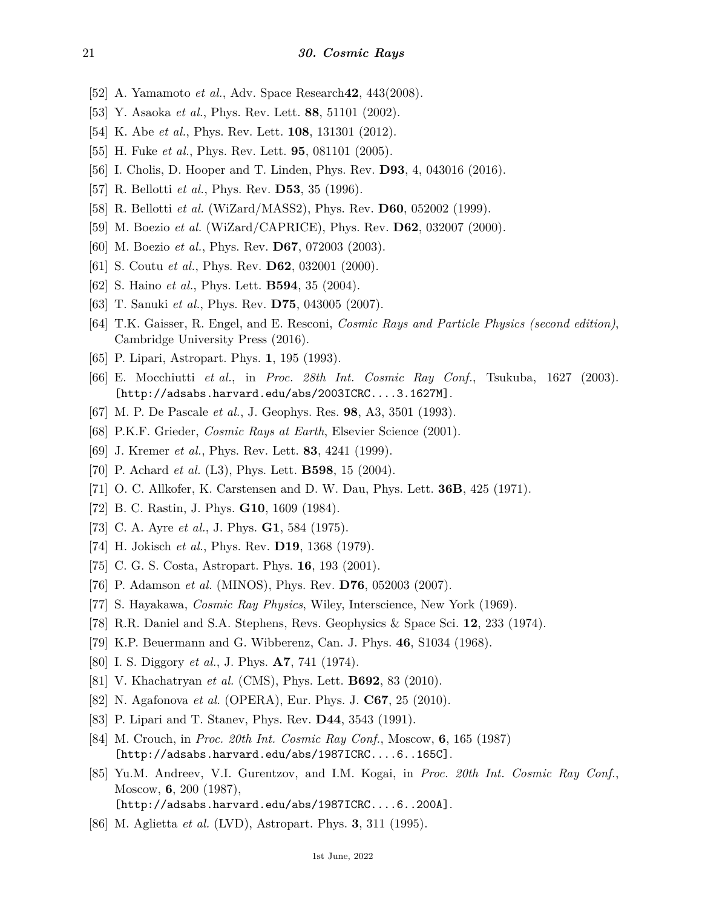- <span id="page-20-0"></span>[52] A. Yamamoto *et al.*, Adv. Space Research**42**, 443(2008).
- <span id="page-20-1"></span>[53] Y. Asaoka *et al.*, Phys. Rev. Lett. **88**, 51101 (2002).
- <span id="page-20-2"></span>[54] K. Abe *et al.*, Phys. Rev. Lett. **108**, 131301 (2012).
- <span id="page-20-3"></span>[55] H. Fuke *et al.*, Phys. Rev. Lett. **95**, 081101 (2005).
- <span id="page-20-4"></span>[56] I. Cholis, D. Hooper and T. Linden, Phys. Rev. **D93**, 4, 043016 (2016).
- <span id="page-20-5"></span>[57] R. Bellotti *et al.*, Phys. Rev. **D53**, 35 (1996).
- [58] R. Bellotti *et al.* (WiZard/MASS2), Phys. Rev. **D60**, 052002 (1999).
- [59] M. Boezio *et al.* (WiZard/CAPRICE), Phys. Rev. **D62**, 032007 (2000).
- [60] M. Boezio *et al.*, Phys. Rev. **D67**, 072003 (2003).
- [61] S. Coutu *et al.*, Phys. Rev. **D62**, 032001 (2000).
- <span id="page-20-6"></span>[62] S. Haino *et al.*, Phys. Lett. **B594**, 35 (2004).
- <span id="page-20-8"></span><span id="page-20-7"></span>[63] T. Sanuki *et al.*, Phys. Rev. **D75**, 043005 (2007).
- [64] T.K. Gaisser, R. Engel, and E. Resconi, *Cosmic Rays and Particle Physics (second edition)*, Cambridge University Press (2016).
- <span id="page-20-10"></span><span id="page-20-9"></span>[65] P. Lipari, Astropart. Phys. **1**, 195 (1993).
- [66] E. Mocchiutti *et al.*, in *Proc. 28th Int. Cosmic Ray Conf.*, Tsukuba, 1627 (2003). [http://adsabs.harvard.edu/abs/2003ICRC....3.1627M].
- <span id="page-20-11"></span>[67] M. P. De Pascale *et al.*, J. Geophys. Res. **98**, A3, 3501 (1993).
- <span id="page-20-12"></span>[68] P.K.F. Grieder, *Cosmic Rays at Earth*, Elsevier Science (2001).
- <span id="page-20-13"></span>[69] J. Kremer *et al.*, Phys. Rev. Lett. **83**, 4241 (1999).
- <span id="page-20-14"></span>[70] P. Achard *et al.* (L3), Phys. Lett. **B598**, 15 (2004).
- <span id="page-20-15"></span>[71] O. C. Allkofer, K. Carstensen and D. W. Dau, Phys. Lett. **36B**, 425 (1971).
- <span id="page-20-17"></span><span id="page-20-16"></span>[72] B. C. Rastin, J. Phys. **G10**, 1609 (1984).
- [73] C. A. Ayre *et al.*, J. Phys. **G1**, 584 (1975).
- <span id="page-20-18"></span>[74] H. Jokisch *et al.*, Phys. Rev. **D19**, 1368 (1979).
- <span id="page-20-19"></span>[75] C. G. S. Costa, Astropart. Phys. **16**, 193 (2001).
- <span id="page-20-20"></span>[76] P. Adamson *et al.* (MINOS), Phys. Rev. **D76**, 052003 (2007).
- <span id="page-20-21"></span>[77] S. Hayakawa, *Cosmic Ray Physics*, Wiley, Interscience, New York (1969).
- <span id="page-20-22"></span>[78] R.R. Daniel and S.A. Stephens, Revs. Geophysics & Space Sci. **12**, 233 (1974).
- <span id="page-20-23"></span>[79] K.P. Beuermann and G. Wibberenz, Can. J. Phys. **46**, S1034 (1968).
- <span id="page-20-24"></span>[80] I. S. Diggory *et al.*, J. Phys. **A7**, 741 (1974).
- <span id="page-20-25"></span>[81] V. Khachatryan *et al.* (CMS), Phys. Lett. **B692**, 83 (2010).
- <span id="page-20-26"></span>[82] N. Agafonova *et al.* (OPERA), Eur. Phys. J. **C67**, 25 (2010).
- <span id="page-20-27"></span>[83] P. Lipari and T. Stanev, Phys. Rev. **D44**, 3543 (1991).
- <span id="page-20-28"></span>[84] M. Crouch, in *Proc. 20th Int. Cosmic Ray Conf.*, Moscow, **6**, 165 (1987) [http://adsabs.harvard.edu/abs/1987ICRC....6..165C].
- <span id="page-20-29"></span>[85] Yu.M. Andreev, V.I. Gurentzov, and I.M. Kogai, in *Proc. 20th Int. Cosmic Ray Conf.*, Moscow, **6**, 200 (1987), [http://adsabs.harvard.edu/abs/1987ICRC....6..200A].
- <span id="page-20-30"></span>[86] M. Aglietta *et al.* (LVD), Astropart. Phys. **3**, 311 (1995).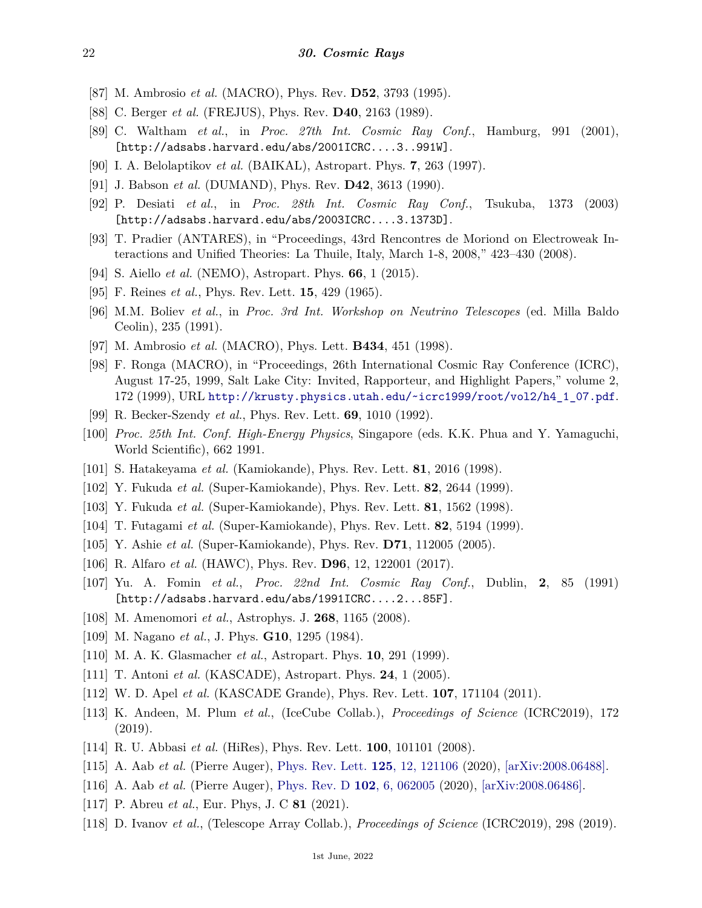- <span id="page-21-10"></span>[87] M. Ambrosio *et al.* (MACRO), Phys. Rev. **D52**, 3793 (1995).
- <span id="page-21-11"></span>[88] C. Berger *et al.* (FREJUS), Phys. Rev. **D40**, 2163 (1989).
- <span id="page-21-12"></span>[89] C. Waltham *et al.*, in *Proc. 27th Int. Cosmic Ray Conf.*, Hamburg, 991 (2001), [http://adsabs.harvard.edu/abs/2001ICRC....3..991W].
- <span id="page-21-8"></span>[90] I. A. Belolaptikov *et al.* (BAIKAL), Astropart. Phys. **7**, 263 (1997).
- [91] J. Babson *et al.* (DUMAND), Phys. Rev. **D42**, 3613 (1990).
- [92] P. Desiati *et al.*, in *Proc. 28th Int. Cosmic Ray Conf.*, Tsukuba, 1373 (2003) [http://adsabs.harvard.edu/abs/2003ICRC....3.1373D].
- <span id="page-21-9"></span>[93] T. Pradier (ANTARES), in "Proceedings, 43rd Rencontres de Moriond on Electroweak Interactions and Unified Theories: La Thuile, Italy, March 1-8, 2008," 423–430 (2008).
- <span id="page-21-13"></span><span id="page-21-0"></span>[94] S. Aiello *et al.* (NEMO), Astropart. Phys. **66**, 1 (2015).
- [95] F. Reines *et al.*, Phys. Rev. Lett. **15**, 429 (1965).
- <span id="page-21-1"></span>[96] M.M. Boliev *et al.*, in *Proc. 3rd Int. Workshop on Neutrino Telescopes* (ed. Milla Baldo Ceolin), 235 (1991).
- <span id="page-21-2"></span>[97] M. Ambrosio *et al.* (MACRO), Phys. Lett. **B434**, 451 (1998).
- <span id="page-21-3"></span>[98] F. Ronga (MACRO), in "Proceedings, 26th International Cosmic Ray Conference (ICRC), August 17-25, 1999, Salt Lake City: Invited, Rapporteur, and Highlight Papers," volume 2, 172 (1999), URL [http://krusty.physics.utah.edu/~icrc1999/root/vol2/h4\\_1\\_07.pdf](http://krusty.physics.utah.edu/~icrc1999/root/vol2/h4_1_07.pdf).
- <span id="page-21-4"></span>[99] R. Becker-Szendy *et al.*, Phys. Rev. Lett. **69**, 1010 (1992).
- <span id="page-21-5"></span>[100] *Proc. 25th Int. Conf. High-Energy Physics*, Singapore (eds. K.K. Phua and Y. Yamaguchi, World Scientific), 662 1991.
- <span id="page-21-6"></span>[101] S. Hatakeyama *et al.* (Kamiokande), Phys. Rev. Lett. **81**, 2016 (1998).
- <span id="page-21-7"></span>[102] Y. Fukuda *et al.* (Super-Kamiokande), Phys. Rev. Lett. **82**, 2644 (1999).
- <span id="page-21-14"></span>[103] Y. Fukuda *et al.* (Super-Kamiokande), Phys. Rev. Lett. **81**, 1562 (1998).
- <span id="page-21-15"></span>[104] T. Futagami *et al.* (Super-Kamiokande), Phys. Rev. Lett. **82**, 5194 (1999).
- <span id="page-21-16"></span>[105] Y. Ashie *et al.* (Super-Kamiokande), Phys. Rev. **D71**, 112005 (2005).
- <span id="page-21-17"></span>[106] R. Alfaro *et al.* (HAWC), Phys. Rev. **D96**, 12, 122001 (2017).
- [107] Yu. A. Fomin *et al.*, *Proc. 22nd Int. Cosmic Ray Conf.*, Dublin, **2**, 85 (1991) [http://adsabs.harvard.edu/abs/1991ICRC....2...85F].
- [108] M. Amenomori *et al.*, Astrophys. J. **268**, 1165 (2008).
- <span id="page-21-18"></span>[109] M. Nagano *et al.*, J. Phys. **G10**, 1295 (1984).
- [110] M. A. K. Glasmacher *et al.*, Astropart. Phys. **10**, 291 (1999).
- [111] T. Antoni *et al.* (KASCADE), Astropart. Phys. **24**, 1 (2005).
- <span id="page-21-19"></span>[112] W. D. Apel *et al.* (KASCADE Grande), Phys. Rev. Lett. **107**, 171104 (2011).
- [113] K. Andeen, M. Plum *et al.*, (IceCube Collab.), *Proceedings of Science* (ICRC2019), 172 (2019).
- <span id="page-21-20"></span>[114] R. U. Abbasi *et al.* (HiRes), Phys. Rev. Lett. **100**, 101101 (2008).
- <span id="page-21-23"></span>[115] A. Aab *et al.* (Pierre Auger), [Phys. Rev. Lett.](http://doi.org/10.1103/PhysRevLett.125.121106) **125**[, 12, 121106](http://doi.org/10.1103/PhysRevLett.125.121106) (2020), [\[arXiv:2008.06488\].](https://arxiv.org/abs/2008.06488)
- <span id="page-21-21"></span>[116] A. Aab *et al.* (Pierre Auger), [Phys. Rev. D](http://doi.org/10.1103/PhysRevD.102.062005) **102**[, 6, 062005](http://doi.org/10.1103/PhysRevD.102.062005) (2020), [\[arXiv:2008.06486\].](https://arxiv.org/abs/2008.06486)
- <span id="page-21-24"></span>[117] P. Abreu *et al.*, Eur. Phys, J. C **81** (2021).
- <span id="page-21-22"></span>[118] D. Ivanov *et al.*, (Telescope Array Collab.), *Proceedings of Science* (ICRC2019), 298 (2019).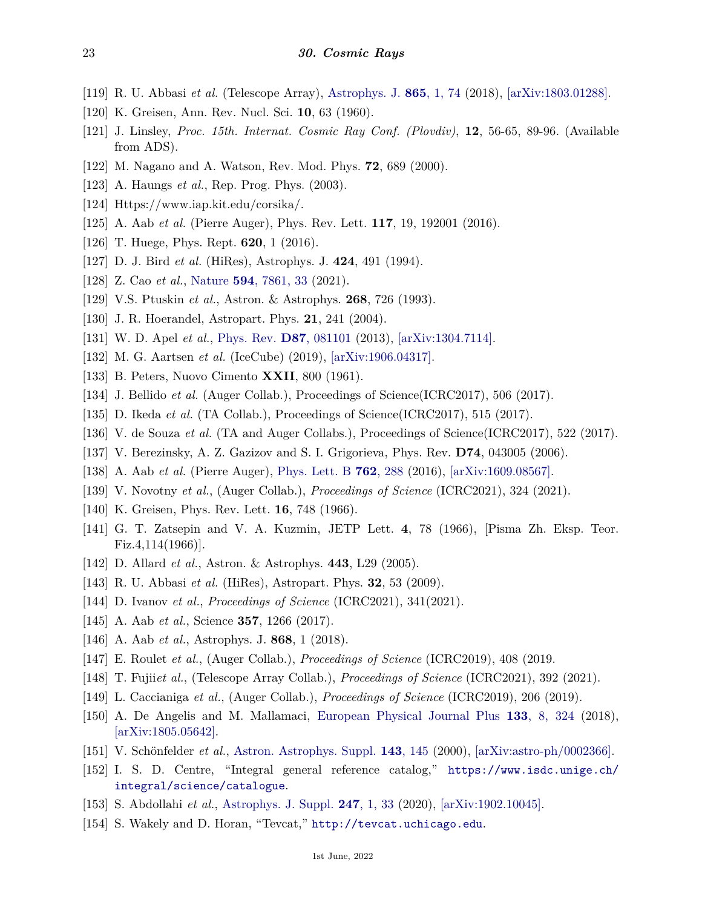- <span id="page-22-1"></span>[119] R. U. Abbasi *et al.* (Telescope Array), [Astrophys. J.](http://doi.org/10.3847/1538-4357/aada05) **865**[, 1, 74](http://doi.org/10.3847/1538-4357/aada05) (2018), [\[arXiv:1803.01288\].](https://arxiv.org/abs/1803.01288)
- <span id="page-22-0"></span>[120] K. Greisen, Ann. Rev. Nucl. Sci. **10**, 63 (1960).
- <span id="page-22-2"></span>[121] J. Linsley, *Proc. 15th. Internat. Cosmic Ray Conf. (Plovdiv)*, **12**, 56-65, 89-96. (Available from ADS).
- <span id="page-22-3"></span>[122] M. Nagano and A. Watson, Rev. Mod. Phys. **72**, 689 (2000).
- <span id="page-22-5"></span><span id="page-22-4"></span>[123] A. Haungs *et al.*, Rep. Prog. Phys. (2003).
- [124] Https://www.iap.kit.edu/corsika/.
- <span id="page-22-6"></span>[125] A. Aab *et al.* (Pierre Auger), Phys. Rev. Lett. **117**, 19, 192001 (2016).
- <span id="page-22-8"></span><span id="page-22-7"></span>[126] T. Huege, Phys. Rept. **620**, 1 (2016).
- [127] D. J. Bird *et al.* (HiRes), Astrophys. J. **424**, 491 (1994).
- <span id="page-22-9"></span>[128] Z. Cao *et al.*, [Nature](http://doi.org/10.1038/s41586-021-03498-z) **594**[, 7861, 33](http://doi.org/10.1038/s41586-021-03498-z) (2021).
- <span id="page-22-11"></span><span id="page-22-10"></span>[129] V.S. Ptuskin *et al.*, Astron. & Astrophys. **268**, 726 (1993).
- <span id="page-22-12"></span>[130] J. R. Hoerandel, Astropart. Phys. **21**, 241 (2004).
- [131] W. D. Apel *et al.*, [Phys. Rev.](http://doi.org/10.1103/PhysRevD.87.081101) **D87**[, 081101](http://doi.org/10.1103/PhysRevD.87.081101) (2013), [\[arXiv:1304.7114\].](https://arxiv.org/abs/1304.7114)
- <span id="page-22-13"></span>[132] M. G. Aartsen *et al.* (IceCube) (2019), [\[arXiv:1906.04317\].](https://arxiv.org/abs/1906.04317)
- <span id="page-22-14"></span>[133] B. Peters, Nuovo Cimento **XXII**, 800 (1961).
- <span id="page-22-15"></span>[134] J. Bellido *et al.* (Auger Collab.), Proceedings of Science(ICRC2017), 506 (2017).
- <span id="page-22-16"></span>[135] D. Ikeda *et al.* (TA Collab.), Proceedings of Science(ICRC2017), 515 (2017).
- <span id="page-22-17"></span>[136] V. de Souza *et al.* (TA and Auger Collabs.), Proceedings of Science(ICRC2017), 522 (2017).
- <span id="page-22-18"></span>[137] V. Berezinsky, A. Z. Gazizov and S. I. Grigorieva, Phys. Rev. **D74**, 043005 (2006).
- <span id="page-22-19"></span>[138] A. Aab *et al.* (Pierre Auger), [Phys. Lett. B](http://doi.org/10.1016/j.physletb.2016.09.039) **762**[, 288](http://doi.org/10.1016/j.physletb.2016.09.039) (2016), [\[arXiv:1609.08567\].](https://arxiv.org/abs/1609.08567)
- <span id="page-22-24"></span>[139] V. Novotny *et al.*, (Auger Collab.), *Proceedings of Science* (ICRC2021), 324 (2021).
- <span id="page-22-20"></span>[140] K. Greisen, Phys. Rev. Lett. **16**, 748 (1966).
- <span id="page-22-21"></span>[141] G. T. Zatsepin and V. A. Kuzmin, JETP Lett. **4**, 78 (1966), [Pisma Zh. Eksp. Teor. Fiz.4,114(1966)].
- <span id="page-22-22"></span>[142] D. Allard *et al.*, Astron. & Astrophys. **443**, L29 (2005).
- <span id="page-22-23"></span>[143] R. U. Abbasi *et al.* (HiRes), Astropart. Phys. **32**, 53 (2009).
- <span id="page-22-25"></span>[144] D. Ivanov *et al.*, *Proceedings of Science* (ICRC2021), 341(2021).
- <span id="page-22-26"></span>[145] A. Aab *et al.*, Science **357**, 1266 (2017).
- [146] A. Aab *et al.*, Astrophys. J. **868**, 1 (2018).
- <span id="page-22-27"></span>[147] E. Roulet *et al.*, (Auger Collab.), *Proceedings of Science* (ICRC2019), 408 (2019.
- <span id="page-22-28"></span>[148] T. Fujii*et al.*, (Telescope Array Collab.), *Proceedings of Science* (ICRC2021), 392 (2021).
- <span id="page-22-29"></span>[149] L. Caccianiga *et al.*, (Auger Collab.), *Proceedings of Science* (ICRC2019), 206 (2019).
- <span id="page-22-30"></span>[150] A. De Angelis and M. Mallamaci, [European Physical Journal Plus](http://doi.org/10.1140/epjp/i2018-12181-0) **133**[, 8, 324](http://doi.org/10.1140/epjp/i2018-12181-0) (2018), [\[arXiv:1805.05642\].](https://arxiv.org/abs/1805.05642)
- <span id="page-22-31"></span>[151] V. Schönfelder *et al.*, [Astron. Astrophys. Suppl.](http://doi.org/10.1051/aas:2000101) **143**[, 145](http://doi.org/10.1051/aas:2000101) (2000), [\[arXiv:astro-ph/0002366\].](https://arxiv.org/abs/astro-ph/0002366)
- <span id="page-22-32"></span>[152] I. S. D. Centre, "Integral general reference catalog," [https://www.isdc.unige.ch/](https://www.isdc.unige.ch/integral/science/catalogue) [integral/science/catalogue](https://www.isdc.unige.ch/integral/science/catalogue).
- <span id="page-22-33"></span>[153] S. Abdollahi *et al.*, [Astrophys. J. Suppl.](http://doi.org/10.3847/1538-4365/ab6bcb) **247**[, 1, 33](http://doi.org/10.3847/1538-4365/ab6bcb) (2020), [\[arXiv:1902.10045\].](https://arxiv.org/abs/1902.10045)
- <span id="page-22-34"></span>[154] S. Wakely and D. Horan, "Tevcat," <http://tevcat.uchicago.edu>.